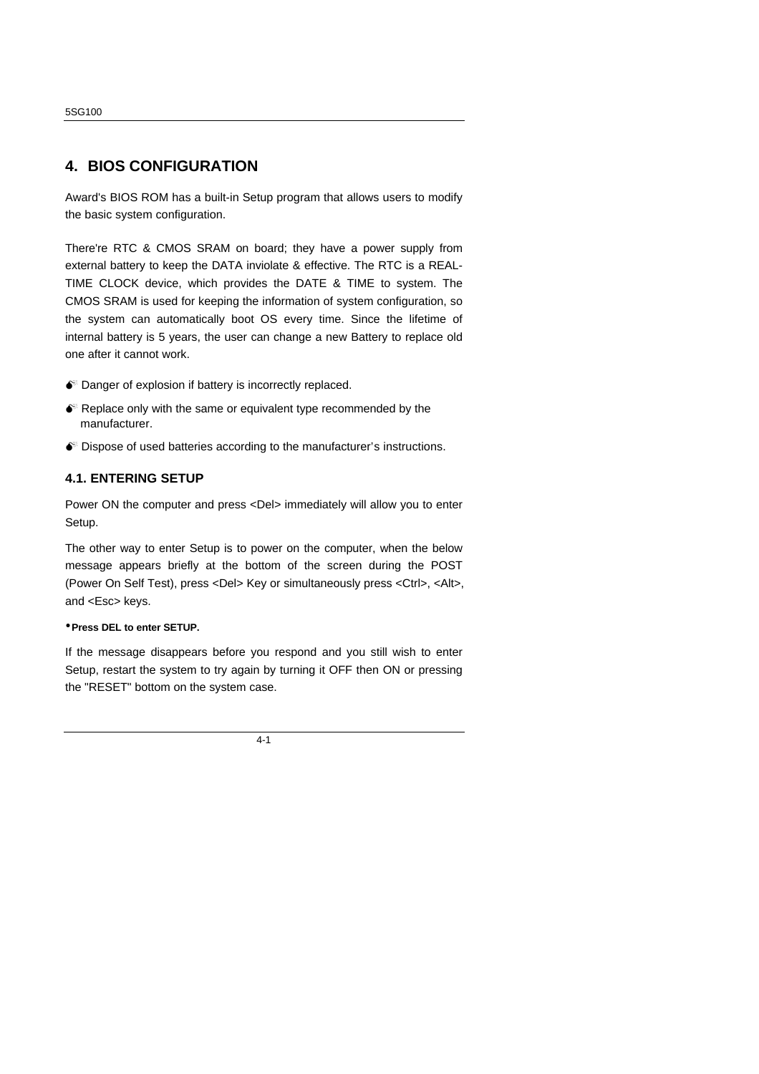### **4. BIOS CONFIGURATION**

Award's BIOS ROM has a built-in Setup program that allows users to modify the basic system configuration.

There're RTC & CMOS SRAM on board; they have a power supply from external battery to keep the DATA inviolate & effective. The RTC is a REAL-TIME CLOCK device, which provides the DATE & TIME to system. The CMOS SRAM is used for keeping the information of system configuration, so the system can automatically boot OS every time. Since the lifetime of internal battery is 5 years, the user can change a new Battery to replace old one after it cannot work.

- $\bullet$  Danger of explosion if battery is incorrectly replaced.
- $\bullet$  Replace only with the same or equivalent type recommended by the manufacturer.
- $\bullet$  Dispose of used batteries according to the manufacturer's instructions.

#### **4.1. ENTERING SETUP**

Power ON the computer and press <Del> immediately will allow you to enter Setup.

The other way to enter Setup is to power on the computer, when the below message appears briefly at the bottom of the screen during the POST (Power On Self Test), press <Del> Key or simultaneously press <Ctrl>, <Alt>, and <Esc> keys.

#### **üPress DEL to enter SETUP.**

If the message disappears before you respond and you still wish to enter Setup, restart the system to try again by turning it OFF then ON or pressing the "RESET" bottom on the system case.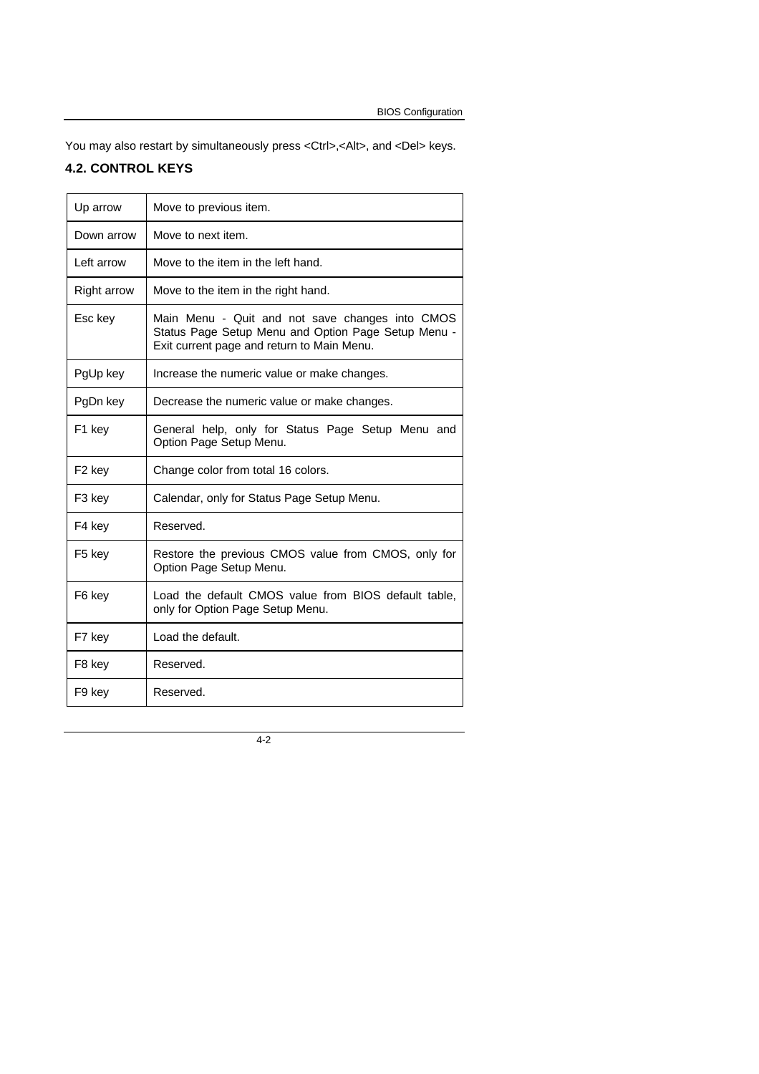You may also restart by simultaneously press <Ctrl>,<Alt>, and <Del> keys.

# **4.2. CONTROL KEYS**

| Up arrow           | Move to previous item.                                                                                                                               |
|--------------------|------------------------------------------------------------------------------------------------------------------------------------------------------|
| Down arrow         | Move to next item.                                                                                                                                   |
| Left arrow         | Move to the item in the left hand.                                                                                                                   |
| <b>Right arrow</b> | Move to the item in the right hand.                                                                                                                  |
| Esc key            | Main Menu - Quit and not save changes into CMOS<br>Status Page Setup Menu and Option Page Setup Menu -<br>Exit current page and return to Main Menu. |
| PgUp key           | Increase the numeric value or make changes.                                                                                                          |
| PgDn key           | Decrease the numeric value or make changes.                                                                                                          |
| F <sub>1</sub> key | General help, only for Status Page Setup Menu and<br>Option Page Setup Menu.                                                                         |
| F <sub>2</sub> key | Change color from total 16 colors.                                                                                                                   |
| F <sub>3</sub> key | Calendar, only for Status Page Setup Menu.                                                                                                           |
| F4 key             | Reserved.                                                                                                                                            |
| F <sub>5</sub> key | Restore the previous CMOS value from CMOS, only for<br>Option Page Setup Menu.                                                                       |
| F6 key             | Load the default CMOS value from BIOS default table,<br>only for Option Page Setup Menu.                                                             |
| F7 key             | Load the default.                                                                                                                                    |
| F8 key             | Reserved.                                                                                                                                            |
| F9 key             | Reserved.                                                                                                                                            |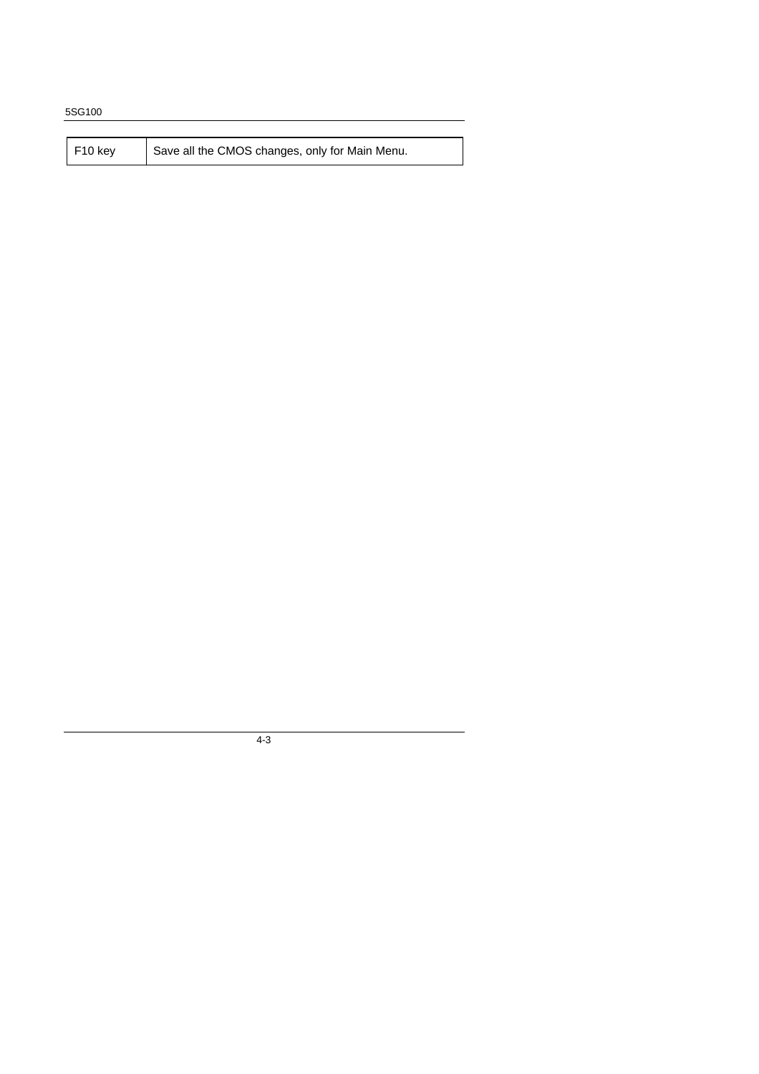| $F10$ key | Save all the CMOS changes, only for Main Menu. |
|-----------|------------------------------------------------|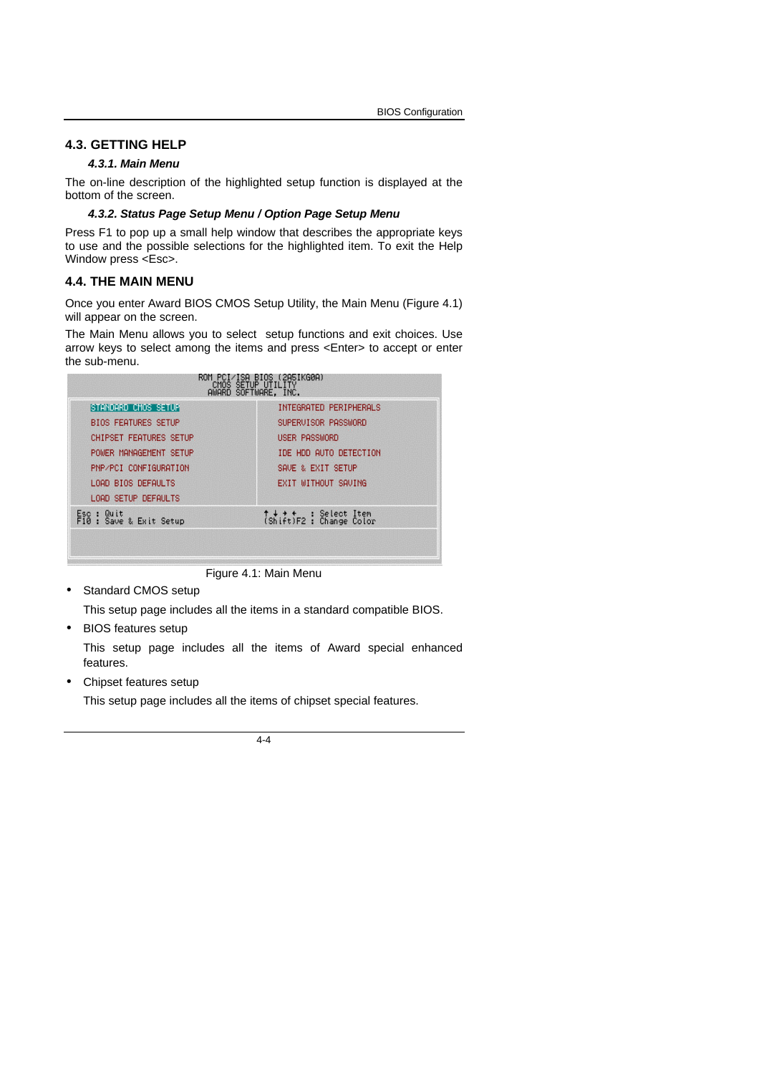#### **4.3. GETTING HELP**

#### *4.3.1. Main Menu*

The on-line description of the highlighted setup function is displayed at the bottom of the screen.

#### *4.3.2. Status Page Setup Menu / Option Page Setup Menu*

Press F1 to pop up a small help window that describes the appropriate keys to use and the possible selections for the highlighted item. To exit the Help Window press <Esc>.

#### **4.4. THE MAIN MENU**

Once you enter Award BIOS CMOS Setup Utility, the Main Menu (Figure 4.1) will appear on the screen.

The Main Menu allows you to select setup functions and exit choices. Use arrow keys to select among the items and press <Enter> to accept or enter the sub-menu.

| BIOS (2A5IKG0A)<br><b>ISH</b><br>¨cMŎŜ ŜĔŤUP ŬŤILĪTŸ<br>AWARD SOFTWARE, INC. |                                                    |  |  |
|------------------------------------------------------------------------------|----------------------------------------------------|--|--|
| <b>STANDARD CMOS SETUR</b>                                                   | INTEGRATED PERIPHERALS                             |  |  |
| <b>BIOS FEATURES SETUP</b>                                                   | SUPERVISOR PASSWORD                                |  |  |
| <b>CHIPSET FEATURES SETUP</b>                                                | <b>USER PASSWORD</b>                               |  |  |
| POWER MANAGEMENT SETUP                                                       | IDE HDD AUTO DETECTION                             |  |  |
| PNP/PCI CONFIGURATION                                                        | SAVE & EXIT SETUP                                  |  |  |
| LOAD BIOS DEFAULTS                                                           | EXIT WITHOUT SAVING                                |  |  |
| LOAD SETUP DEFAULTS                                                          |                                                    |  |  |
| Esc : Quit<br>F10 : Save & Exit Setup                                        | ↑↓ ◆ ←   : Select Item<br>(Shift)F2 : Change Color |  |  |
|                                                                              |                                                    |  |  |
|                                                                              |                                                    |  |  |

Figure 4.1: Main Menu

• Standard CMOS setup

This setup page includes all the items in a standard compatible BIOS.

• BIOS features setup

This setup page includes all the items of Award special enhanced features.

• Chipset features setup

This setup page includes all the items of chipset special features.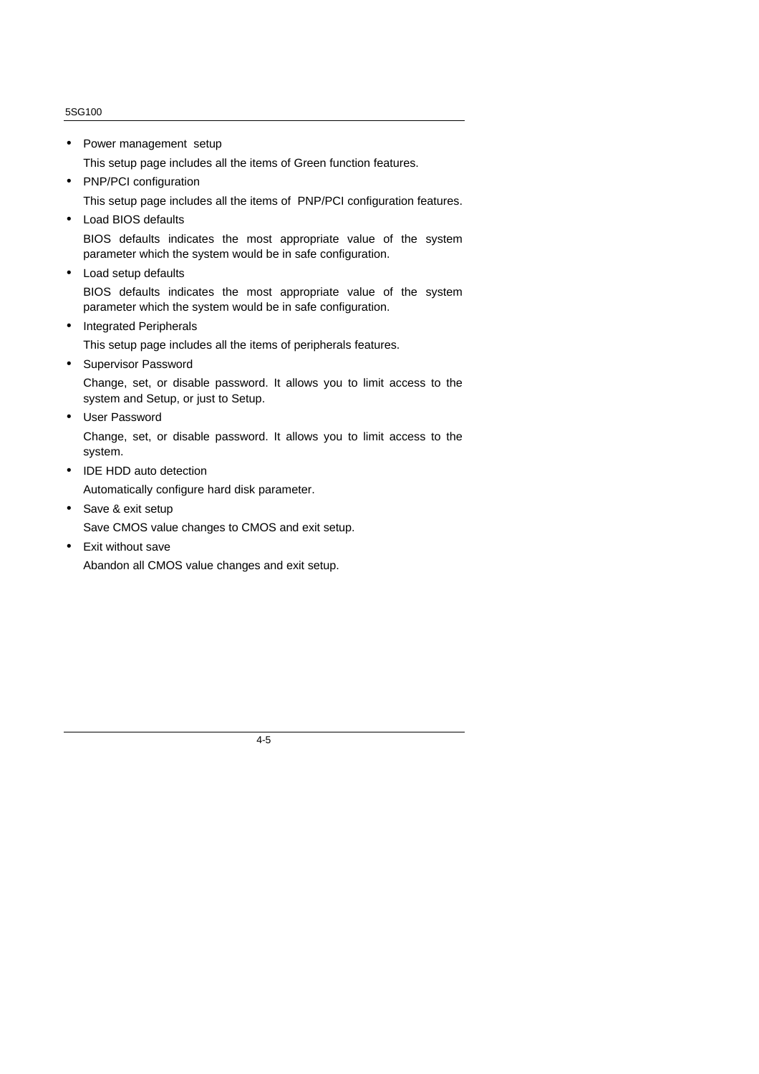• Power management setup

This setup page includes all the items of Green function features.

• PNP/PCI configuration

This setup page includes all the items of PNP/PCI configuration features.

• Load BIOS defaults

BIOS defaults indicates the most appropriate value of the system parameter which the system would be in safe configuration.

- Load setup defaults BIOS defaults indicates the most appropriate value of the system parameter which the system would be in safe configuration.
- Integrated Peripherals

This setup page includes all the items of peripherals features.

• Supervisor Password

Change, set, or disable password. It allows you to limit access to the system and Setup, or just to Setup.

• User Password

Change, set, or disable password. It allows you to limit access to the system.

- IDE HDD auto detection
- Automatically configure hard disk parameter.
- Save & exit setup Save CMOS value changes to CMOS and exit setup.
- Exit without save Abandon all CMOS value changes and exit setup.

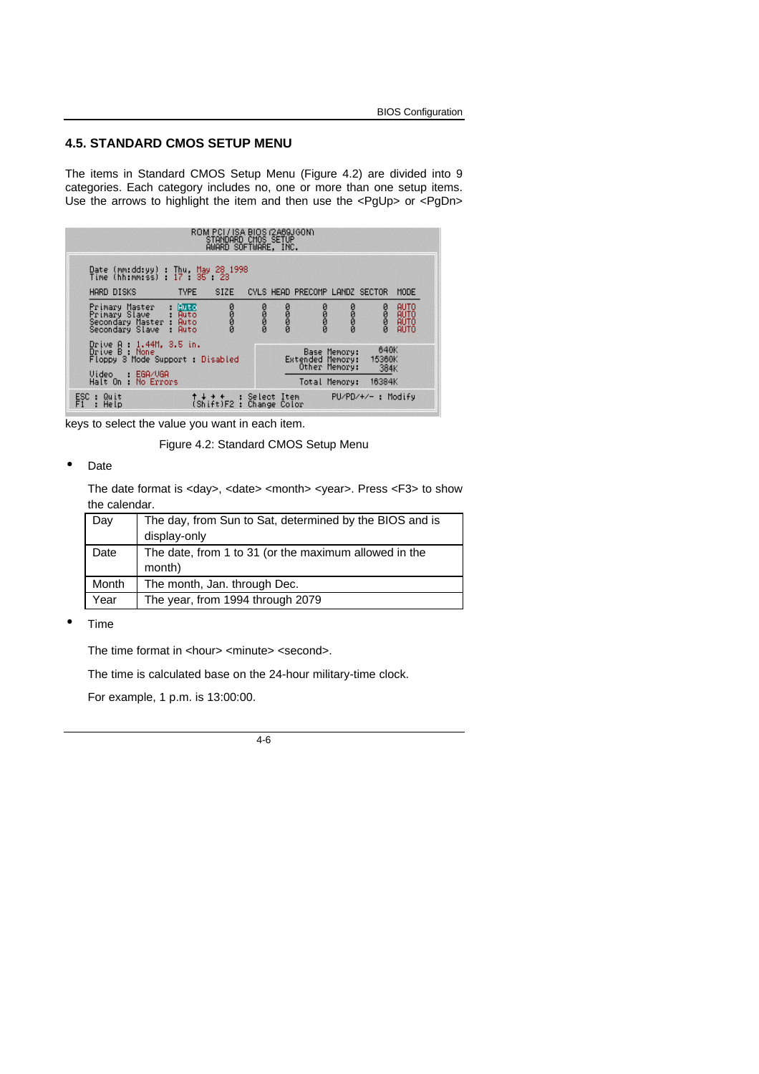#### **4.5. STANDARD CMOS SETUP MENU**

The items in Standard CMOS Setup Menu (Figure 4.2) are divided into 9 categories. Each category includes no, one or more than one setup items. Use the arrows to highlight the item and then use the <PgUp> or <PgDn>

|                                                                                                                  | ROM PCI/ISA BIOS (2A69JGON)<br>STANDARD CMOS SETUP<br>AWARD SOFTWARE, INC. |      |      |                                                   |                    |                        |                              |
|------------------------------------------------------------------------------------------------------------------|----------------------------------------------------------------------------|------|------|---------------------------------------------------|--------------------|------------------------|------------------------------|
| Date (mm:dd:yy) : Thu, May 28 1998<br>Time (hh:mm:ss) : 17 : 35 : 23                                             |                                                                            |      |      |                                                   |                    |                        |                              |
| <b>HARD DISKS</b><br><b>TYPE</b>                                                                                 | <b>SIZE</b>                                                                |      |      | CYLS HEAD PRECOMP LANDZ SECTOR                    |                    |                        | MODE                         |
| Primary Master : <mark>Auto</mark><br>Primary Slave : Auto<br>Secondary Master Auto<br>Secondary Slave :<br>Auto | 2000                                                                       | DODO | DODO | DODO                                              | 2000               | 2000                   | AUTO<br>AUTO<br>AUTO<br>AUTO |
| Drive A : 1.44M, 3.5 in.<br>Drive B : None<br>Floppy 3 Mode Support : Disabled                                   |                                                                            |      |      | Base Memory:<br>Extended Memory:<br>Other Memory: |                    | 640K<br>15360K<br>384K |                              |
| Video : EGA/VGA<br>Halt On : No Errors                                                                           |                                                                            |      |      | Total Memory:                                     |                    | 16384K                 |                              |
| ESC : Quit<br>F1 : Help<br>: Help                                                                                | ↑ ↓ ↑ ↑ ↓ Select Item<br>(Shift)F2 : Change Color                          |      |      |                                                   | PU/PD/+/- : Modify |                        |                              |

keys to select the value you want in each item.

Figure 4.2: Standard CMOS Setup Menu

#### • Date

The date format is <day>, <date> <month> <year>. Press <F3> to show the calendar.

| Day   | The day, from Sun to Sat, determined by the BIOS and is |
|-------|---------------------------------------------------------|
|       | display-only                                            |
| Date  | The date, from 1 to 31 (or the maximum allowed in the   |
|       | month)                                                  |
| Month | The month, Jan. through Dec.                            |
| Year  | The year, from 1994 through 2079                        |

• Time

The time format in <hour> <minute> <second>.

The time is calculated base on the 24-hour military-time clock.

For example, 1 p.m. is 13:00:00.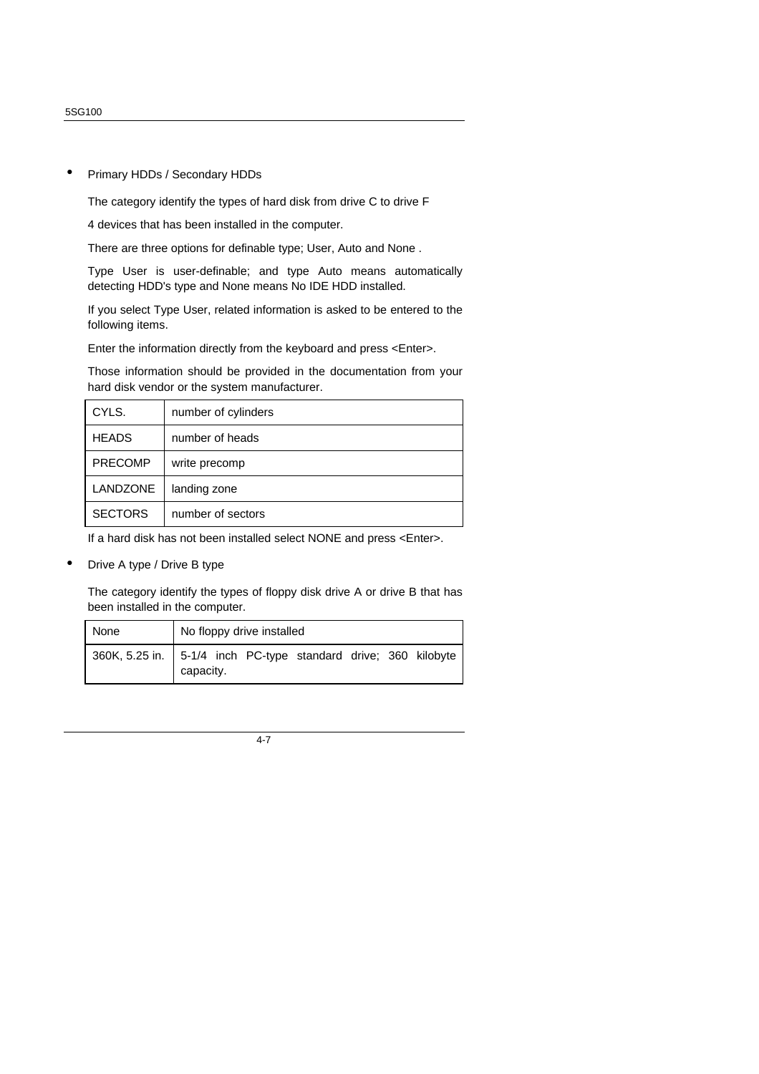#### • Primary HDDs / Secondary HDDs

The category identify the types of hard disk from drive C to drive F

4 devices that has been installed in the computer.

There are three options for definable type; User, Auto and None .

Type User is user-definable; and type Auto means automatically detecting HDD's type and None means No IDE HDD installed.

If you select Type User, related information is asked to be entered to the following items.

Enter the information directly from the keyboard and press <Enter>.

Those information should be provided in the documentation from your hard disk vendor or the system manufacturer.

| CYLS.           | number of cylinders |
|-----------------|---------------------|
| <b>HEADS</b>    | number of heads     |
| <b>PRECOMP</b>  | write precomp       |
| <b>LANDZONE</b> | landing zone        |
| <b>SECTORS</b>  | number of sectors   |

If a hard disk has not been installed select NONE and press <Enter>.

• Drive A type / Drive B type

The category identify the types of floppy disk drive A or drive B that has been installed in the computer.

| None | No floppy drive installed                                                     |
|------|-------------------------------------------------------------------------------|
|      | 360K, 5.25 in.   5-1/4 inch PC-type standard drive; 360 kilobyte<br>capacity. |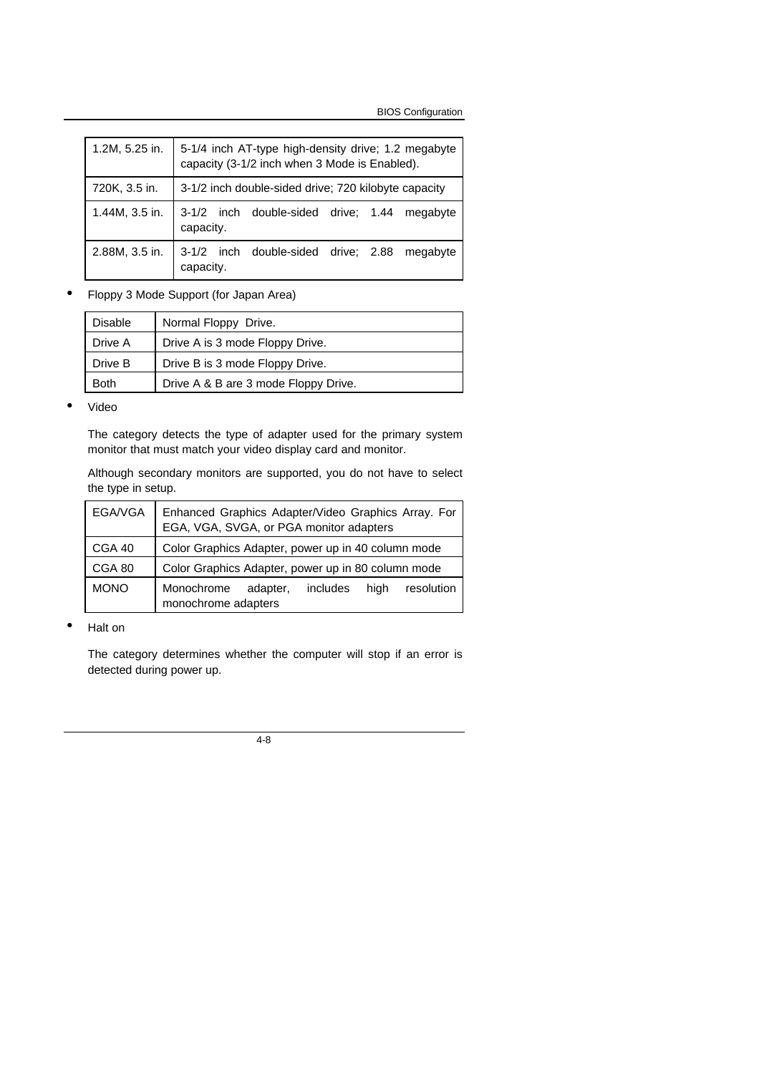BIOS Configuration

| 1.2M, 5.25 in. | 5-1/4 inch AT-type high-density drive; 1.2 megabyte<br>capacity (3-1/2 inch when 3 Mode is Enabled). |  |  |  |
|----------------|------------------------------------------------------------------------------------------------------|--|--|--|
| 720K, 3.5 in.  | 3-1/2 inch double-sided drive; 720 kilobyte capacity                                                 |  |  |  |
| 1.44M, 3.5 in. | 3-1/2 inch double-sided drive; 1.44 megabyte<br>capacity.                                            |  |  |  |
| 2.88M, 3.5 in. | 3-1/2 inch double-sided drive; 2.88 megabyte<br>capacity.                                            |  |  |  |

• Floppy 3 Mode Support (for Japan Area)

| <b>Disable</b> | Normal Floppy Drive.                 |
|----------------|--------------------------------------|
| Drive A        | Drive A is 3 mode Floppy Drive.      |
| Drive B        | Drive B is 3 mode Floppy Drive.      |
| <b>Both</b>    | Drive A & B are 3 mode Floppy Drive. |

• Video

The category detects the type of adapter used for the primary system monitor that must match your video display card and monitor.

Although secondary monitors are supported, you do not have to select the type in setup.

| EGA/VGA     | Enhanced Graphics Adapter/Video Graphics Array. For<br>EGA, VGA, SVGA, or PGA monitor adapters |
|-------------|------------------------------------------------------------------------------------------------|
| CGA 40      | Color Graphics Adapter, power up in 40 column mode                                             |
| CGA 80      | Color Graphics Adapter, power up in 80 column mode                                             |
| <b>MONO</b> | Monochrome<br>high<br>includes<br>resolution<br>adapter,<br>monochrome adapters                |

• Halt on

The category determines whether the computer will stop if an error is detected during power up.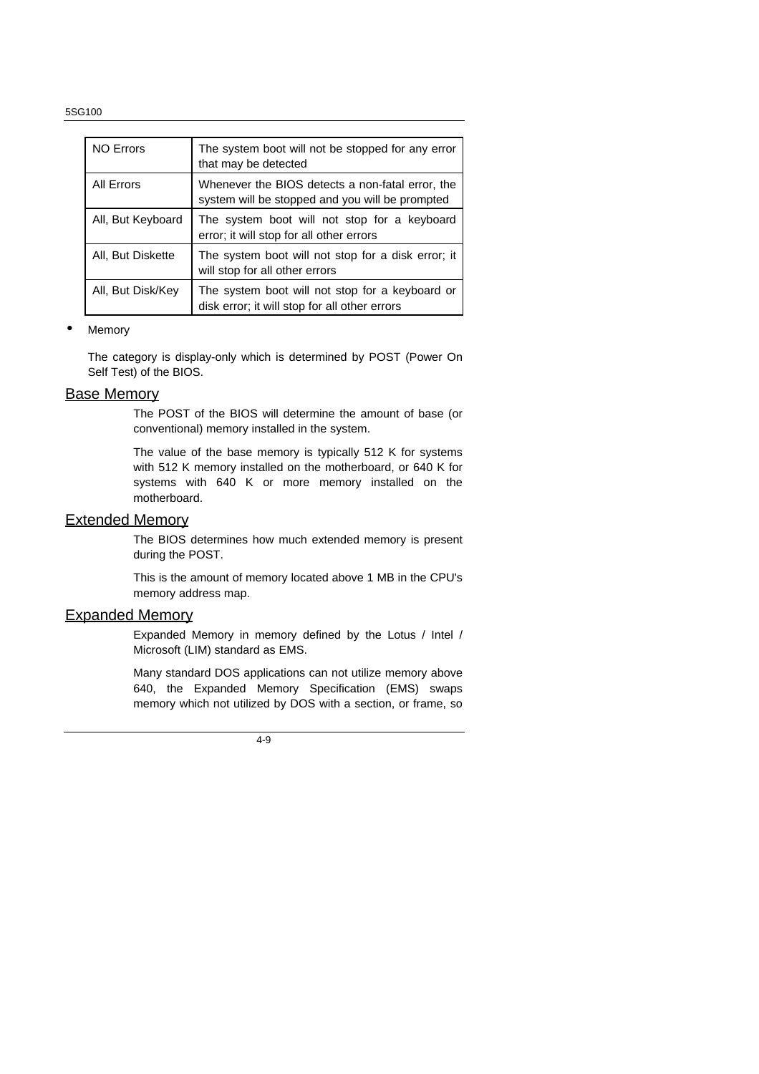| <b>NO Errors</b>  | The system boot will not be stopped for any error<br>that may be detected                           |
|-------------------|-----------------------------------------------------------------------------------------------------|
| All Errors        | Whenever the BIOS detects a non-fatal error, the<br>system will be stopped and you will be prompted |
| All, But Keyboard | The system boot will not stop for a keyboard<br>error; it will stop for all other errors            |
| All, But Diskette | The system boot will not stop for a disk error; it<br>will stop for all other errors                |
| All, But Disk/Key | The system boot will not stop for a keyboard or<br>disk error; it will stop for all other errors    |

#### **Memory**

The category is display-only which is determined by POST (Power On Self Test) of the BIOS.

#### Base Memory

The POST of the BIOS will determine the amount of base (or conventional) memory installed in the system.

The value of the base memory is typically 512 K for systems with 512 K memory installed on the motherboard, or 640 K for systems with 640 K or more memory installed on the motherboard.

#### Extended Memory

The BIOS determines how much extended memory is present during the POST.

This is the amount of memory located above 1 MB in the CPU's memory address map.

#### Expanded Memory

Expanded Memory in memory defined by the Lotus / Intel / Microsoft (LIM) standard as EMS.

Many standard DOS applications can not utilize memory above 640, the Expanded Memory Specification (EMS) swaps memory which not utilized by DOS with a section, or frame, so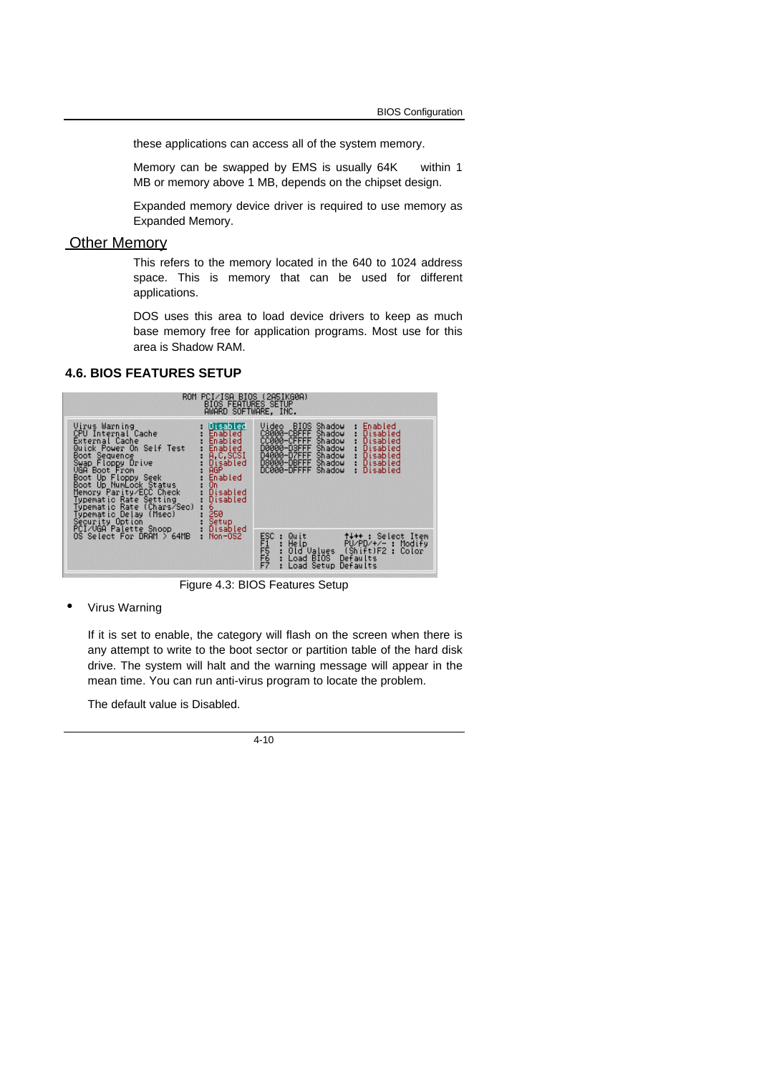these applications can access all of the system memory.

Memory can be swapped by EMS is usually 64K within 1 MB or memory above 1 MB, depends on the chipset design.

Expanded memory device driver is required to use memory as Expanded Memory.

## **Other Memory**

This refers to the memory located in the 640 to 1024 address space. This is memory that can be used for different applications.

DOS uses this area to load device drivers to keep as much base memory free for application programs. Most use for this area is Shadow RAM.

#### **4.6. BIOS FEATURES SETUP**



Figure 4.3: BIOS Features Setup

• Virus Warning

If it is set to enable, the category will flash on the screen when there is any attempt to write to the boot sector or partition table of the hard disk drive. The system will halt and the warning message will appear in the mean time. You can run anti-virus program to locate the problem.

The default value is Disabled.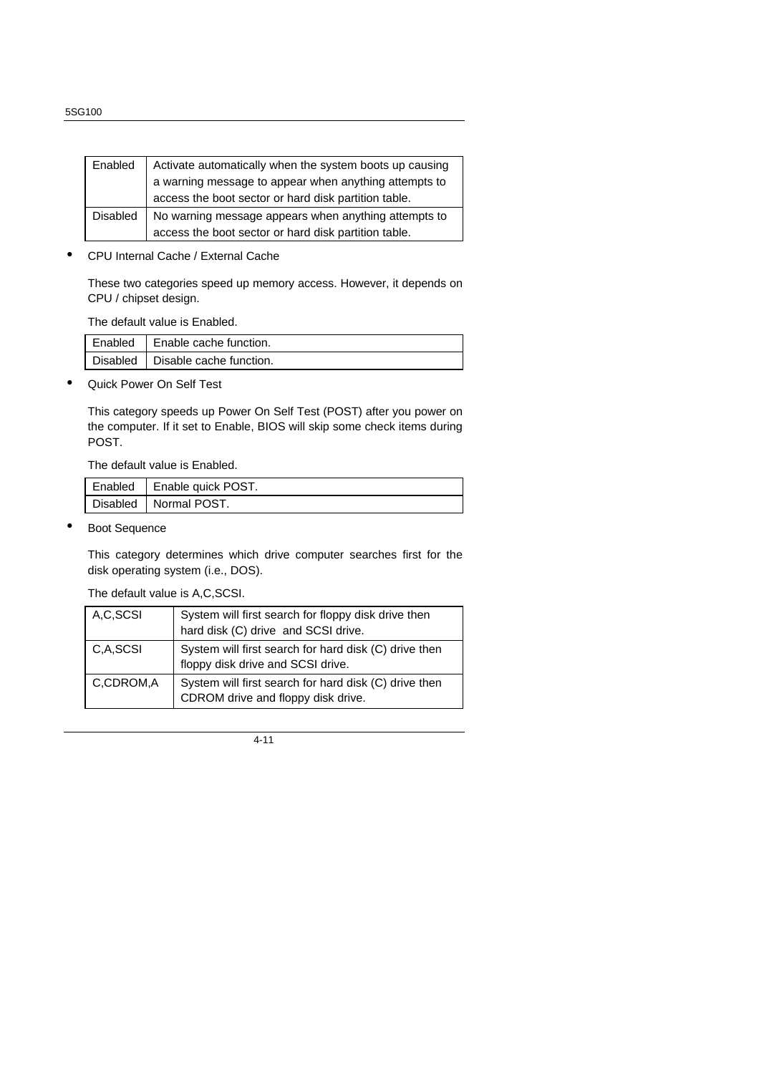| Enabled         | Activate automatically when the system boots up causing |
|-----------------|---------------------------------------------------------|
|                 | a warning message to appear when anything attempts to   |
|                 | access the boot sector or hard disk partition table.    |
| <b>Disabled</b> | No warning message appears when anything attempts to    |
|                 | access the boot sector or hard disk partition table.    |

• CPU Internal Cache / External Cache

These two categories speed up memory access. However, it depends on CPU / chipset design.

The default value is Enabled.

| Enabled | Enable cache function.           |
|---------|----------------------------------|
|         | Disabled Disable cache function. |

• Quick Power On Self Test

This category speeds up Power On Self Test (POST) after you power on the computer. If it set to Enable, BIOS will skip some check items during POST.

The default value is Enabled.

| Enabled   Enable quick POST. |
|------------------------------|
| Disabled   Normal POST.      |

**Boot Sequence** 

This category determines which drive computer searches first for the disk operating system (i.e., DOS).

The default value is A,C,SCSI.

| A,C,SCSI  | System will first search for floppy disk drive then<br>hard disk (C) drive and SCSI drive.  |
|-----------|---------------------------------------------------------------------------------------------|
| C.A.SCSI  | System will first search for hard disk (C) drive then<br>floppy disk drive and SCSI drive.  |
| C,CDROM,A | System will first search for hard disk (C) drive then<br>CDROM drive and floppy disk drive. |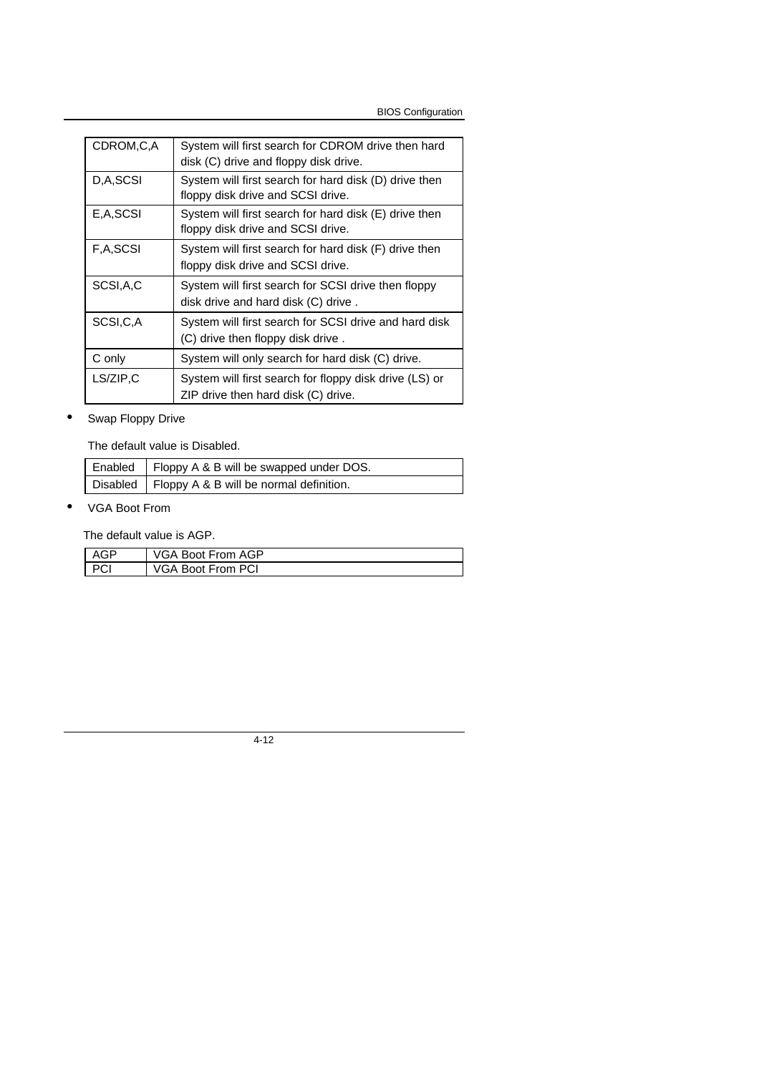BIOS Configuration

| CDROM, C, A | System will first search for CDROM drive then hard<br>disk (C) drive and floppy disk drive.   |
|-------------|-----------------------------------------------------------------------------------------------|
| D,A,SCSI    | System will first search for hard disk (D) drive then<br>floppy disk drive and SCSI drive.    |
| E,A,SCSI    | System will first search for hard disk (E) drive then<br>floppy disk drive and SCSI drive.    |
| F,A,SCSI    | System will first search for hard disk (F) drive then<br>floppy disk drive and SCSI drive.    |
| SCSI, A, C  | System will first search for SCSI drive then floppy<br>disk drive and hard disk (C) drive.    |
| SCSI,C,A    | System will first search for SCSI drive and hard disk<br>(C) drive then floppy disk drive.    |
| C only      | System will only search for hard disk (C) drive.                                              |
| LS/ZIP,C    | System will first search for floppy disk drive (LS) or<br>ZIP drive then hard disk (C) drive. |

## • Swap Floppy Drive

The default value is Disabled.

| Enabled   Floppy A & B will be swapped under DOS.  |
|----------------------------------------------------|
| Disabled   Floppy A & B will be normal definition. |

• VGA Boot From

The default value is AGP.

| GP | VGA Boot From AGP        |
|----|--------------------------|
|    | <b>VGA Boot From PCI</b> |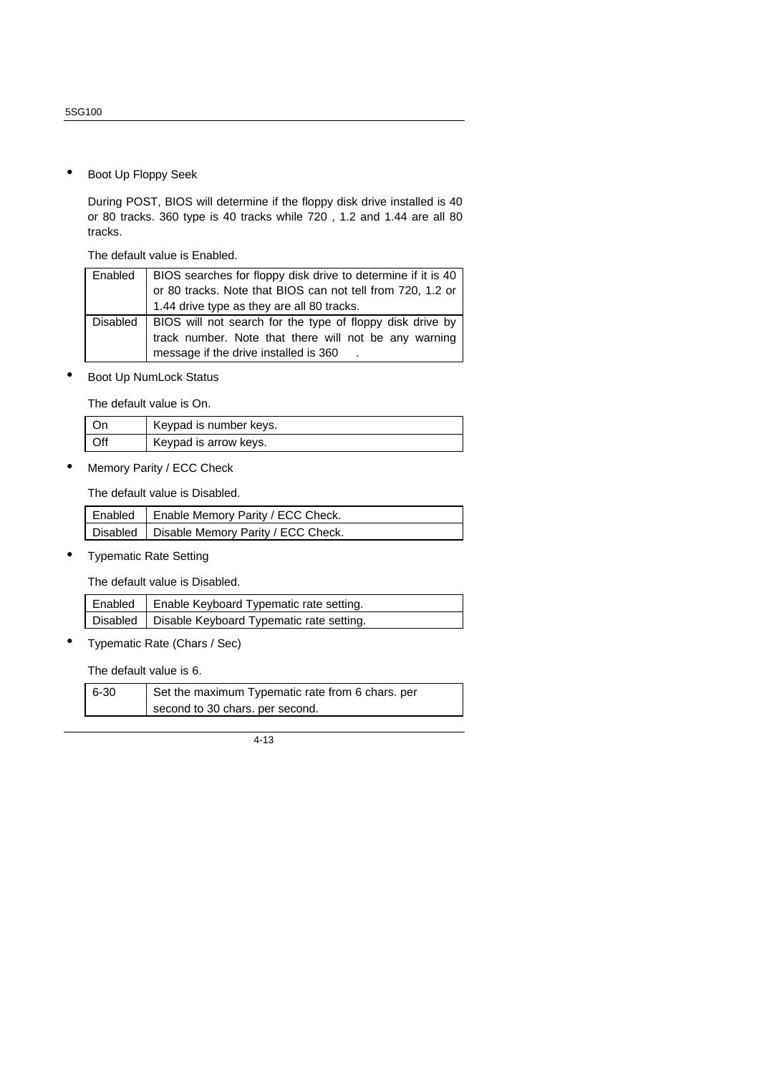• Boot Up Floppy Seek

During POST, BIOS will determine if the floppy disk drive installed is 40 or 80 tracks. 360 type is 40 tracks while 720 , 1.2 and 1.44 are all 80 tracks.

The default value is Enabled.

| Enabled         | BIOS searches for floppy disk drive to determine if it is 40 |
|-----------------|--------------------------------------------------------------|
|                 | or 80 tracks. Note that BIOS can not tell from 720, 1.2 or   |
|                 | 1.44 drive type as they are all 80 tracks.                   |
| <b>Disabled</b> | BIOS will not search for the type of floppy disk drive by    |
|                 | track number. Note that there will not be any warning        |
|                 | message if the drive installed is 360                        |

Boot Up NumLock Status

The default value is On.

|     | Keypad is number keys. |
|-----|------------------------|
| )ff | Keypad is arrow keys.  |

• Memory Parity / ECC Check

The default value is Disabled.

| Enabled   Enable Memory Parity / ECC Check.   |
|-----------------------------------------------|
| Disabled   Disable Memory Parity / ECC Check. |

• Typematic Rate Setting

The default value is Disabled.

| Enabled   Enable Keyboard Typematic rate setting.   |
|-----------------------------------------------------|
| Disabled   Disable Keyboard Typematic rate setting. |

• Typematic Rate (Chars / Sec)

The default value is 6.

| $6 - 30$ | Set the maximum Typematic rate from 6 chars. per |
|----------|--------------------------------------------------|
|          | second to 30 chars. per second.                  |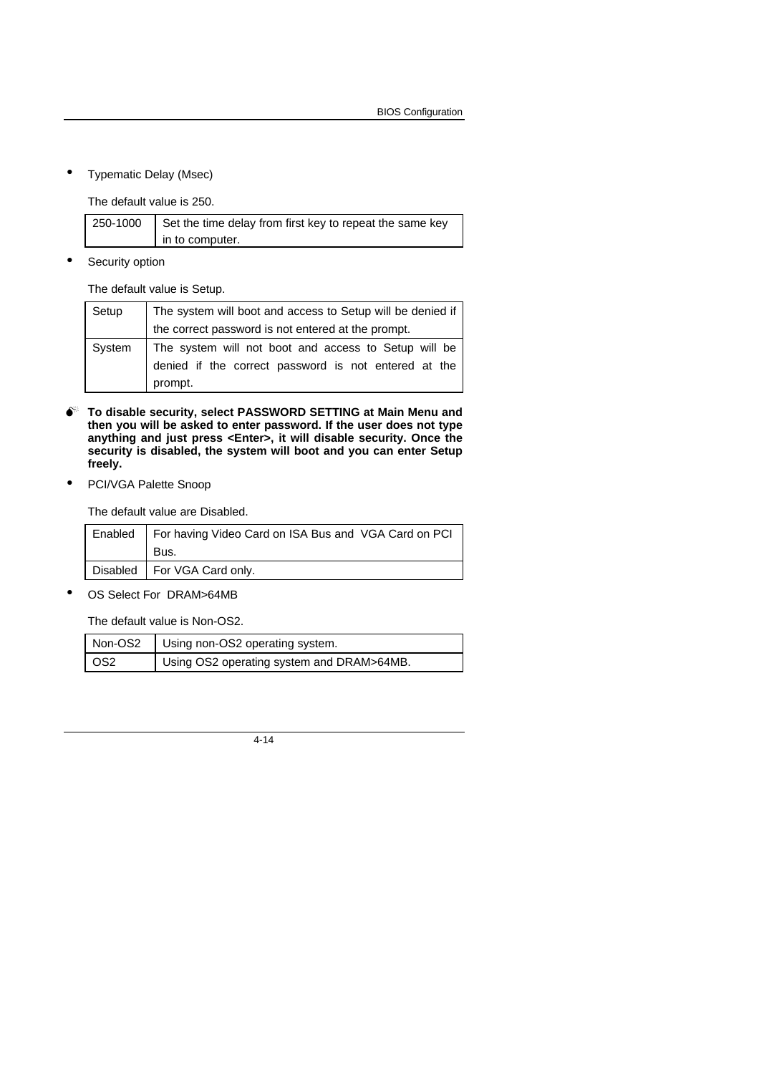• Typematic Delay (Msec)

The default value is 250.

| 250-1000 | Set the time delay from first key to repeat the same key |
|----------|----------------------------------------------------------|
|          | in to computer.                                          |

Security option

The default value is Setup.

| Setup  | The system will boot and access to Setup will be denied if |
|--------|------------------------------------------------------------|
|        | the correct password is not entered at the prompt.         |
| System | The system will not boot and access to Setup will be       |
|        | denied if the correct password is not entered at the       |
|        | prompt.                                                    |

- $\bullet$ <sup>\*</sup> To disable security, select PASSWORD SETTING at Main Menu and **then you will be asked to enter password. If the user does not type anything and just press <Enter>, it will disable security. Once the security is disabled, the system will boot and you can enter Setup freely.**
- PCI/VGA Palette Snoop

The default value are Disabled.

| Enabled   For having Video Card on ISA Bus and VGA Card on PCI |
|----------------------------------------------------------------|
| Bus.                                                           |
| Disabled   For VGA Card only.                                  |

• OS Select For DRAM>64MB

The default value is Non-OS2.

|                 | Non-OS2   Using non-OS2 operating system. |
|-----------------|-------------------------------------------|
| OS <sub>2</sub> | Using OS2 operating system and DRAM>64MB. |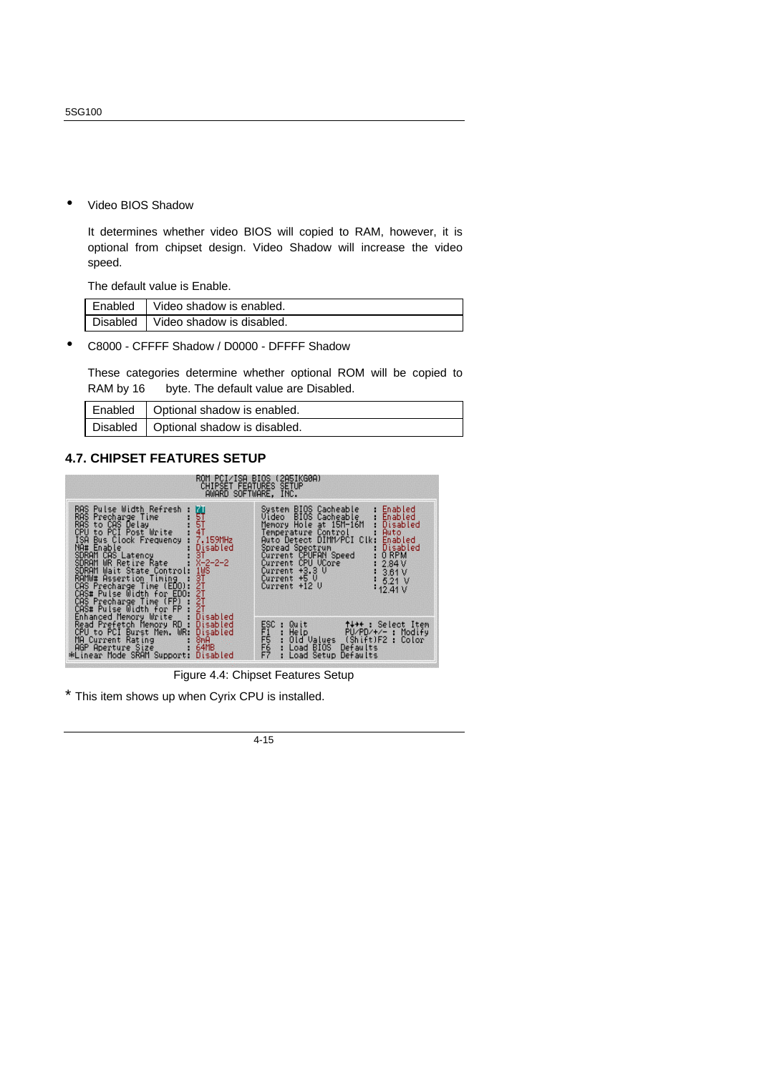• Video BIOS Shadow

It determines whether video BIOS will copied to RAM, however, it is optional from chipset design. Video Shadow will increase the video speed.

The default value is Enable.

| Enabled Video shadow is enabled.   |
|------------------------------------|
| Disabled Video shadow is disabled. |

• C8000 - CFFFF Shadow / D0000 - DFFFF Shadow

These categories determine whether optional ROM will be copied to RAM by 16 byte. The default value are Disabled.

| Enabled   Optional shadow is enabled.   |
|-----------------------------------------|
| Disabled   Optional shadow is disabled. |

#### **4.7. CHIPSET FEATURES SETUP**



Figure 4.4: Chipset Features Setup

This item shows up when Cyrix CPU is installed.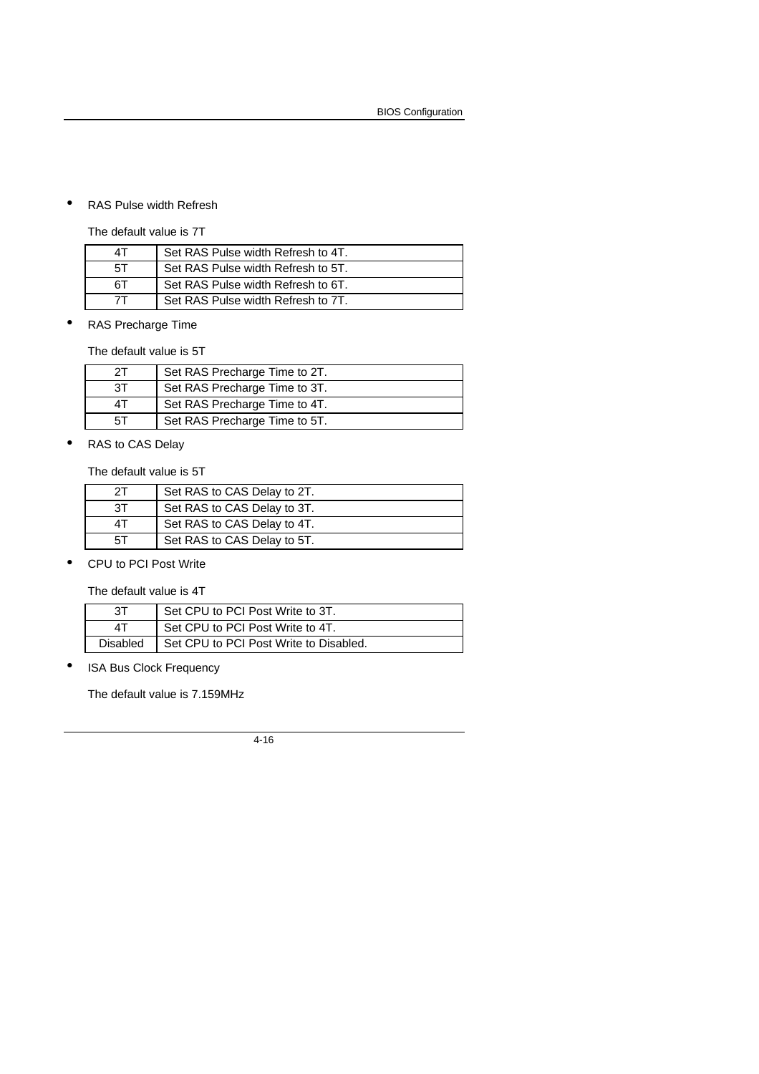#### • RAS Pulse width Refresh

The default value is 7T

| 4T  | Set RAS Pulse width Refresh to 4T. |
|-----|------------------------------------|
| .5T | Set RAS Pulse width Refresh to 5T. |
| 6T  | Set RAS Pulse width Refresh to 6T. |
|     | Set RAS Pulse width Refresh to 7T. |

• RAS Precharge Time

The default value is 5T

| 2Τ | Set RAS Precharge Time to 2T. |
|----|-------------------------------|
| 3Τ | Set RAS Precharge Time to 3T. |
| 4Τ | Set RAS Precharge Time to 4T. |
| 5Τ | Set RAS Precharge Time to 5T. |

• RAS to CAS Delay

The default value is 5T

| 21 | Set RAS to CAS Delay to 2T. |
|----|-----------------------------|
| 3T | Set RAS to CAS Delay to 3T. |
| 4Τ | Set RAS to CAS Delay to 4T. |
| 5Τ | Set RAS to CAS Delay to 5T. |

• CPU to PCI Post Write

The default value is 4T

| 3Τ              | Set CPU to PCI Post Write to 3T.       |
|-----------------|----------------------------------------|
| ΔT              | Set CPU to PCI Post Write to 4T.       |
| <b>Disabled</b> | Set CPU to PCI Post Write to Disabled. |

• ISA Bus Clock Frequency

The default value is 7.159MHz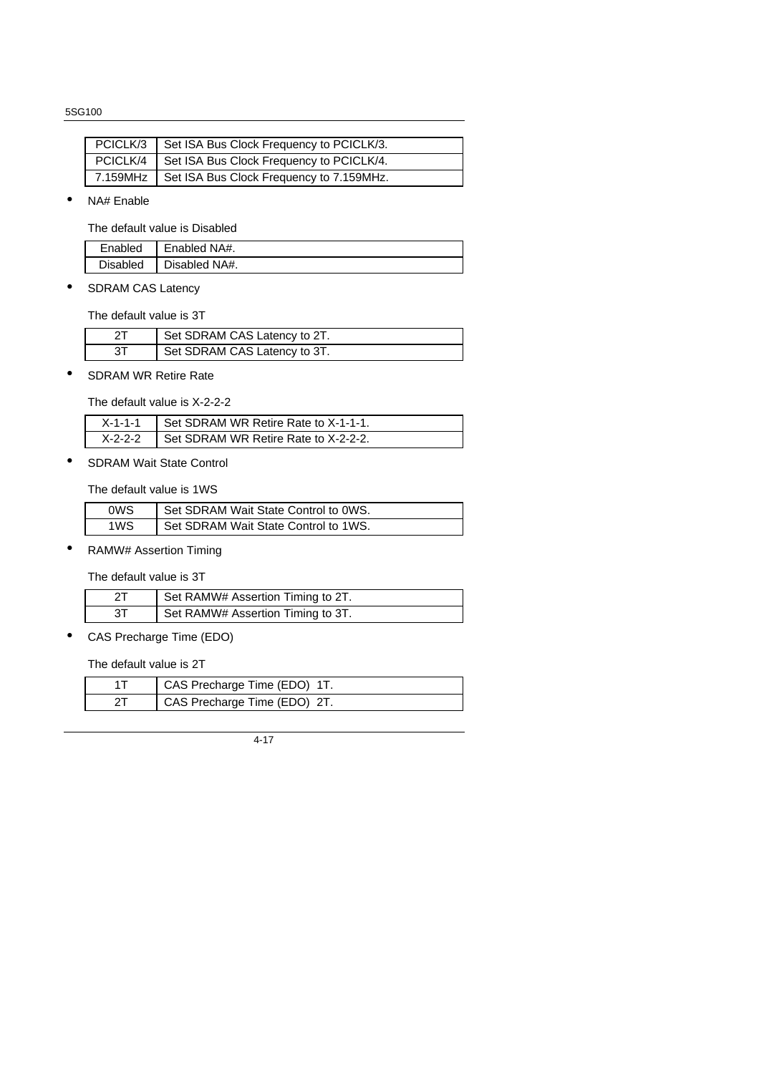| PCICLK/3 | Set ISA Bus Clock Frequency to PCICLK/3.            |
|----------|-----------------------------------------------------|
|          | PCICLK/4   Set ISA Bus Clock Frequency to PCICLK/4. |
|          | 7.159MHz   Set ISA Bus Clock Frequency to 7.159MHz. |

• NA# Enable

The default value is Disabled

| Enabled         | Enabled NA#.  |
|-----------------|---------------|
| <b>Disabled</b> | Disabled NA#. |

• SDRAM CAS Latency

The default value is 3T

| Set SDRAM CAS Latency to 2T. |
|------------------------------|
| Set SDRAM CAS Latency to 3T. |

• SDRAM WR Retire Rate

The default value is X-2-2-2

| $X-1-1-1$ Set SDRAM WR Retire Rate to $X-1-1-1$ . |
|---------------------------------------------------|
| X-2-2-2   Set SDRAM WR Retire Rate to X-2-2-2.    |

• SDRAM Wait State Control

The default value is 1WS

| 0WS | Set SDRAM Wait State Control to 0WS. |
|-----|--------------------------------------|
| 1WS | Set SDRAM Wait State Control to 1WS. |

• RAMW# Assertion Timing

The default value is 3T

|    | Set RAMW# Assertion Timing to 2T. |
|----|-----------------------------------|
| 3T | Set RAMW# Assertion Timing to 3T. |

• CAS Precharge Time (EDO)

The default value is 2T

| CAS Precharge Time (EDO) 1T. |
|------------------------------|
| CAS Precharge Time (EDO) 2T. |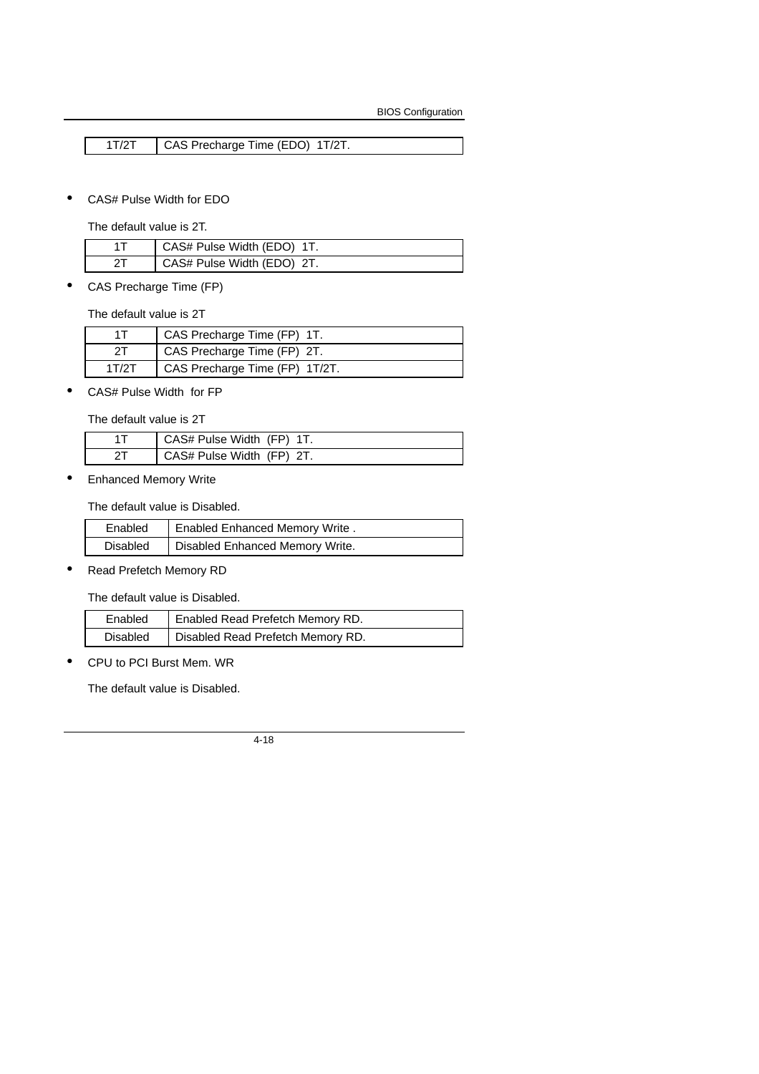1T/2T CAS Precharge Time (EDO) 1T/2T.

• CAS# Pulse Width for EDO

The default value is 2T.

| CAS# Pulse Width (EDO) 1T. |
|----------------------------|
| CAS# Pulse Width (EDO) 2T. |

• CAS Precharge Time (FP)

The default value is 2T

|       | CAS Precharge Time (FP) 1T.    |
|-------|--------------------------------|
|       | CAS Precharge Time (FP) 2T.    |
| 1T/2T | CAS Precharge Time (FP) 1T/2T. |

• CAS# Pulse Width for FP

The default value is 2T

| CAS# Pulse Width (FP) 1T. |
|---------------------------|
| CAS# Pulse Width (FP) 2T. |

• Enhanced Memory Write

The default value is Disabled.

| Enabled         | <b>Enabled Enhanced Memory Write.</b> |
|-----------------|---------------------------------------|
| <b>Disabled</b> | Disabled Enhanced Memory Write.       |

• Read Prefetch Memory RD

The default value is Disabled.

| Enabled  | Enabled Read Prefetch Memory RD.  |
|----------|-----------------------------------|
| Disabled | Disabled Read Prefetch Memory RD. |

• CPU to PCI Burst Mem. WR

The default value is Disabled.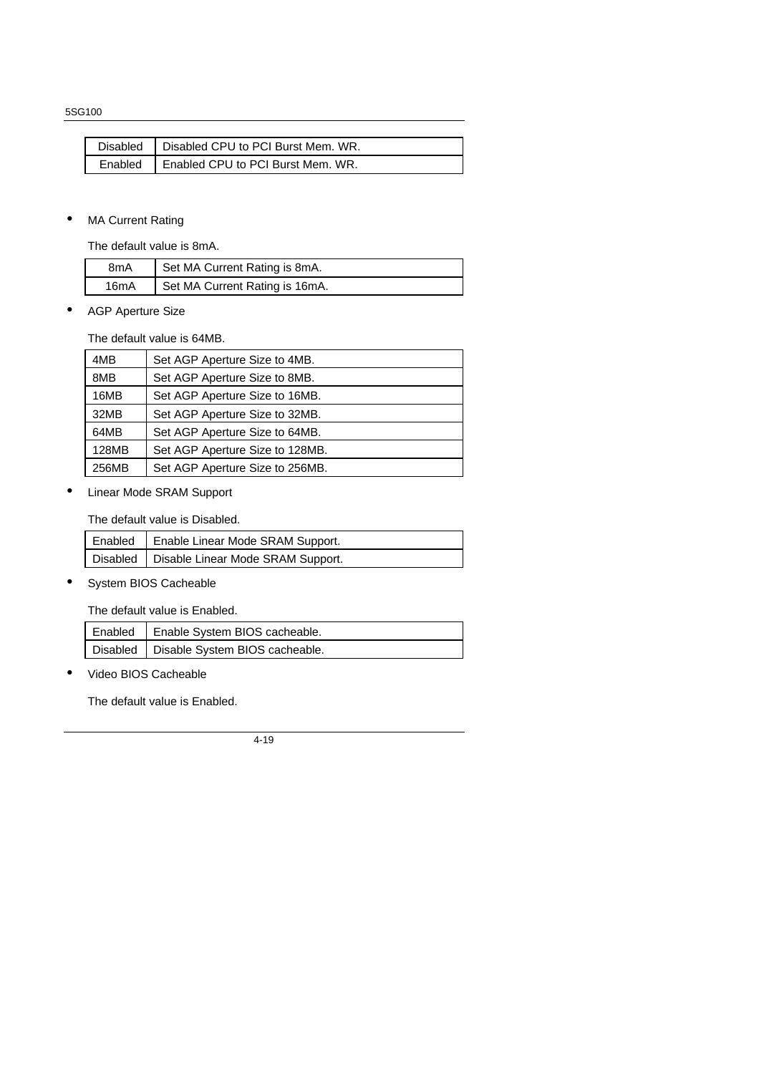| Disabled   Disabled CPU to PCI Burst Mem. WR. |
|-----------------------------------------------|
| Enabled   Enabled CPU to PCI Burst Mem. WR.   |

#### • MA Current Rating

The default value is 8mA.

| 8mA  | Set MA Current Rating is 8mA.  |
|------|--------------------------------|
| 16mA | Set MA Current Rating is 16mA. |

• AGP Aperture Size

The default value is 64MB.

| 4MB   | Set AGP Aperture Size to 4MB.   |
|-------|---------------------------------|
| 8MB   | Set AGP Aperture Size to 8MB.   |
| 16MB  | Set AGP Aperture Size to 16MB.  |
| 32MB  | Set AGP Aperture Size to 32MB.  |
| 64MB  | Set AGP Aperture Size to 64MB.  |
| 128MB | Set AGP Aperture Size to 128MB. |
| 256MB | Set AGP Aperture Size to 256MB. |

• Linear Mode SRAM Support

The default value is Disabled.

| Enabled   Enable Linear Mode SRAM Support.   |
|----------------------------------------------|
| Disabled   Disable Linear Mode SRAM Support. |

• System BIOS Cacheable

The default value is Enabled.

| Enabled   Enable System BIOS cacheable.   |
|-------------------------------------------|
| Disabled   Disable System BIOS cacheable. |

• Video BIOS Cacheable

The default value is Enabled.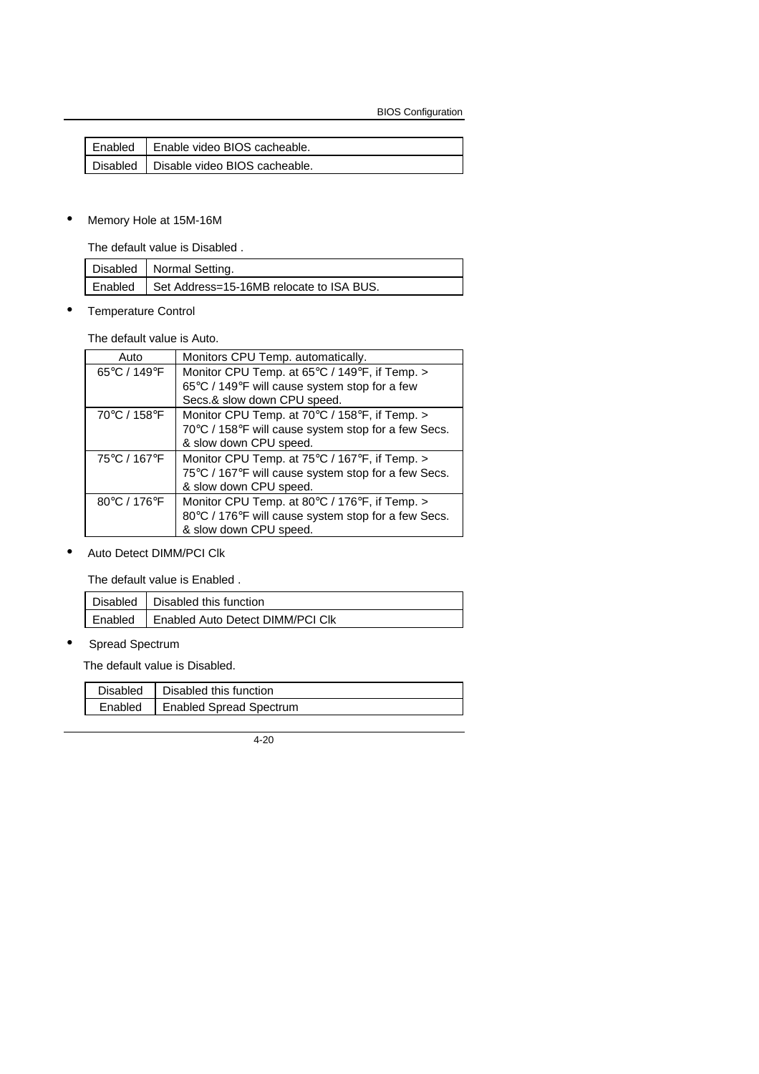| Enabled   Enable video BIOS cacheable.   |
|------------------------------------------|
| Disabled   Disable video BIOS cacheable. |

#### • Memory Hole at 15M-16M

The default value is Disabled .

| Disabled   Normal Setting.                       |
|--------------------------------------------------|
| Enabled Set Address=15-16MB relocate to ISA BUS. |

• Temperature Control

The default value is Auto.

| Auto         | Monitors CPU Temp. automatically.                   |
|--------------|-----------------------------------------------------|
| 65°C / 149°F | Monitor CPU Temp. at 65°C / 149°F, if Temp. >       |
|              | 65°C / 149°F will cause system stop for a few       |
|              | Secs.& slow down CPU speed.                         |
| 70°C / 158°F | Monitor CPU Temp. at 70°C / 158°F, if Temp. >       |
|              | 70°C / 158°F will cause system stop for a few Secs. |
|              | & slow down CPU speed.                              |
| 75°C / 167°F | Monitor CPU Temp. at 75°C / 167°F, if Temp. >       |
|              | 75°C / 167°F will cause system stop for a few Secs. |
|              | & slow down CPU speed.                              |
| 80°C / 176°F | Monitor CPU Temp. at 80°C / 176°F, if Temp. >       |
|              | 80°C / 176°F will cause system stop for a few Secs. |
|              | & slow down CPU speed.                              |

• Auto Detect DIMM/PCI Clk

The default value is Enabled .

| Disabled   Disabled this function          |
|--------------------------------------------|
| Enabled   Enabled Auto Detect DIMM/PCI Clk |

• Spread Spectrum

The default value is Disabled.

| Disabled | Disabled this function         |
|----------|--------------------------------|
| Enabled  | <b>Enabled Spread Spectrum</b> |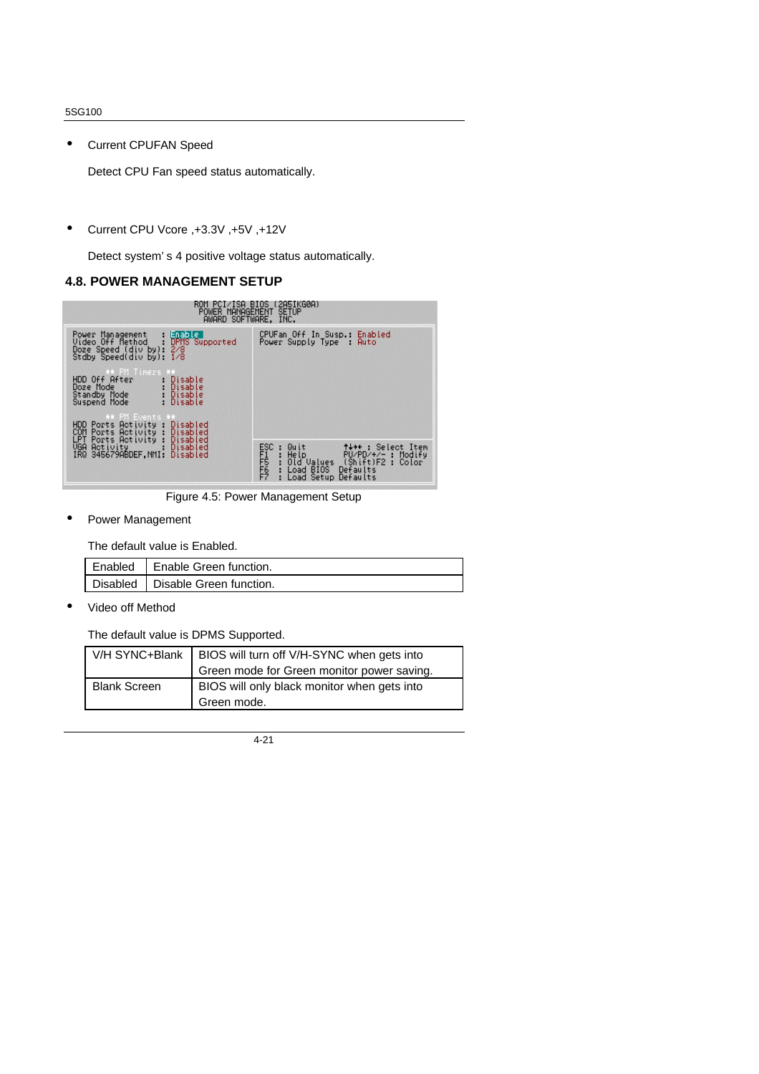• Current CPUFAN Speed

Detect CPU Fan speed status automatically.

• Current CPU Vcore ,+3.3V ,+5V ,+12V

Detect system' s 4 positive voltage status automatically.

#### **4.8. POWER MANAGEMENT SETUP**



Figure 4.5: Power Management Setup

Power Management

The default value is Enabled.

| Enabled   Enable Green function.   |
|------------------------------------|
| Disabled   Disable Green function. |

• Video off Method

The default value is DPMS Supported.

| V/H SYNC+Blank      | BIOS will turn off V/H-SYNC when gets into  |
|---------------------|---------------------------------------------|
|                     | Green mode for Green monitor power saving.  |
| <b>Blank Screen</b> | BIOS will only black monitor when gets into |
|                     | Green mode.                                 |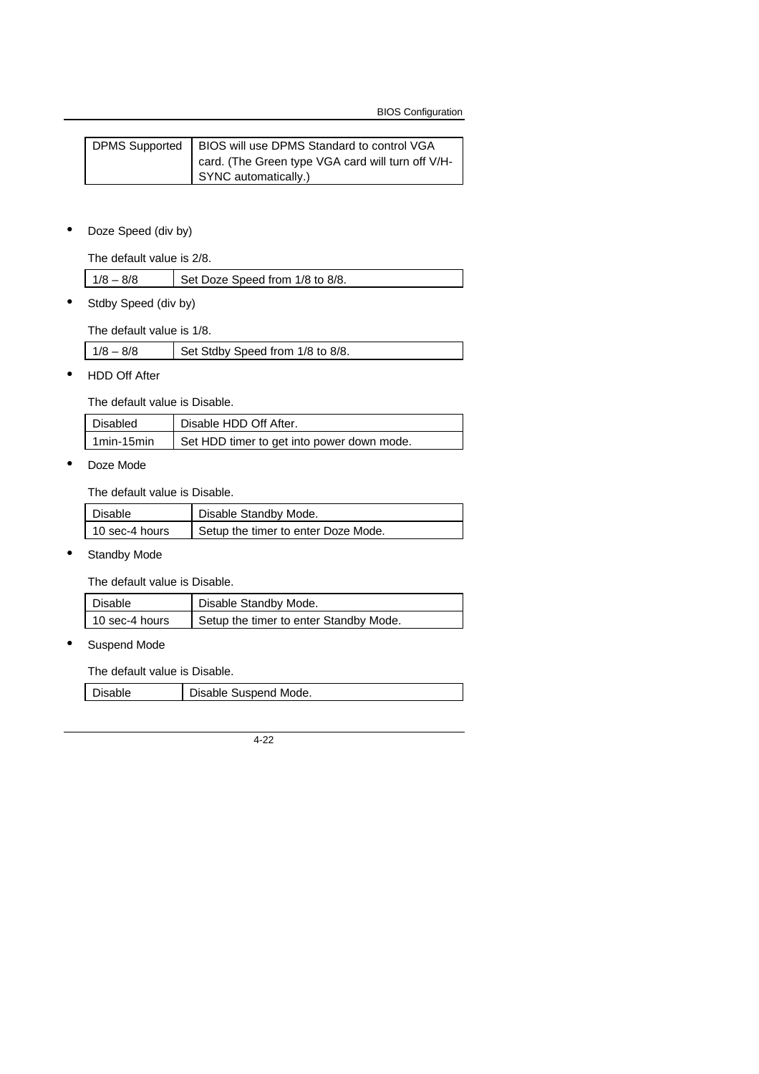| <b>DPMS Supported</b> | BIOS will use DPMS Standard to control VGA        |
|-----------------------|---------------------------------------------------|
|                       | card. (The Green type VGA card will turn off V/H- |
|                       | SYNC automatically.)                              |

• Doze Speed (div by)

The default value is 2/8.

| $1/8 - 8/8$<br>Set Doze Speed from 1/8 to 8/8. |  |
|------------------------------------------------|--|
|------------------------------------------------|--|

• Stdby Speed (div by)

The default value is 1/8.

|  | $1/8 - 8/8$ | Set Stdby Speed from 1/8 to 8/8. |
|--|-------------|----------------------------------|
|--|-------------|----------------------------------|

• HDD Off After

The default value is Disable.

| Disabled     | Disable HDD Off After.                     |
|--------------|--------------------------------------------|
| 1 min-15 min | Set HDD timer to get into power down mode. |

• Doze Mode

The default value is Disable.

| Disable        | Disable Standby Mode.               |
|----------------|-------------------------------------|
| 10 sec-4 hours | Setup the timer to enter Doze Mode. |

• Standby Mode

The default value is Disable.

| Disable        | Disable Standby Mode.                  |
|----------------|----------------------------------------|
| 10 sec-4 hours | Setup the timer to enter Standby Mode. |

Suspend Mode

The default value is Disable.

Disable Disable Suspend Mode.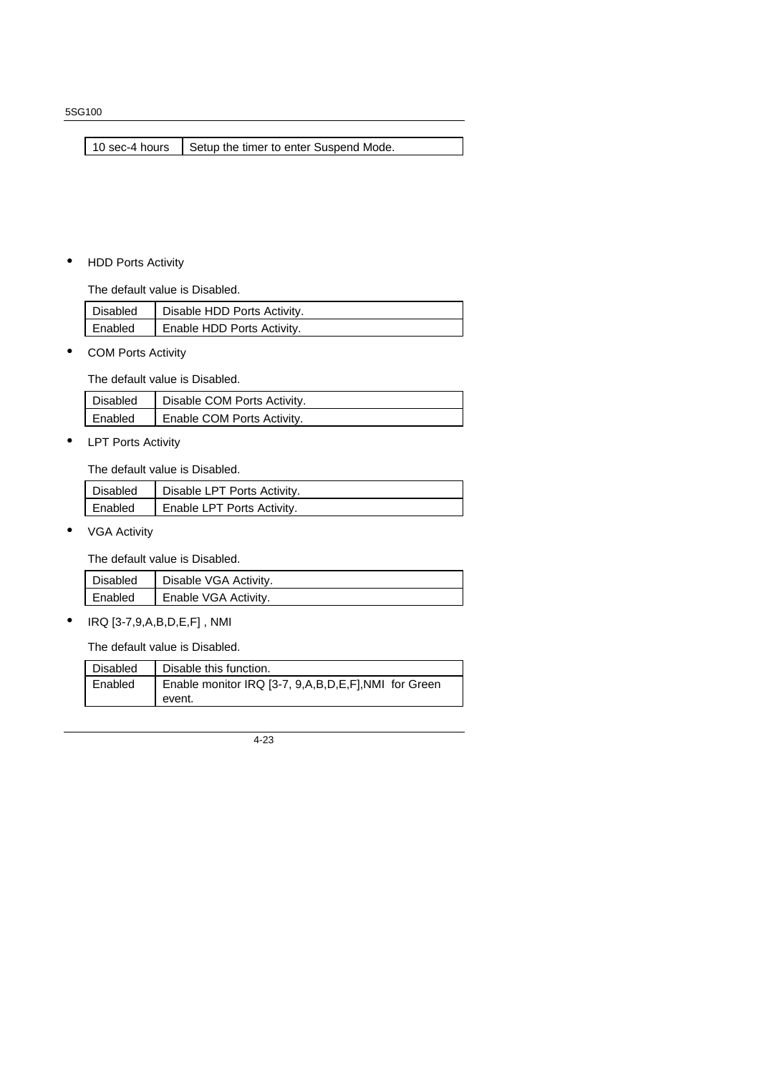10 sec-4 hours  $\Big|$  Setup the timer to enter Suspend Mode.

• HDD Ports Activity

The default value is Disabled.

| <b>Disabled</b> | Disable HDD Ports Activity. |
|-----------------|-----------------------------|
| Enabled         | Enable HDD Ports Activity.  |

• COM Ports Activity

The default value is Disabled.

| Disabled | Disable COM Ports Activity. |
|----------|-----------------------------|
| Enabled  | Enable COM Ports Activity.  |

• LPT Ports Activity

The default value is Disabled.

| Disabled | Disable LPT Ports Activity. |
|----------|-----------------------------|
| Enabled  | Enable LPT Ports Activity.  |

• VGA Activity

The default value is Disabled.

| Disabled | Disable VGA Activity. |
|----------|-----------------------|
| Enabled  | Enable VGA Activity.  |

• IRQ [3-7,9,A,B,D,E,F] , NMI

The default value is Disabled.

| Disabled | Disable this function.                              |
|----------|-----------------------------------------------------|
| Enabled  | Enable monitor IRQ [3-7, 9,A,B,D,E,F],NMI for Green |
|          | event.                                              |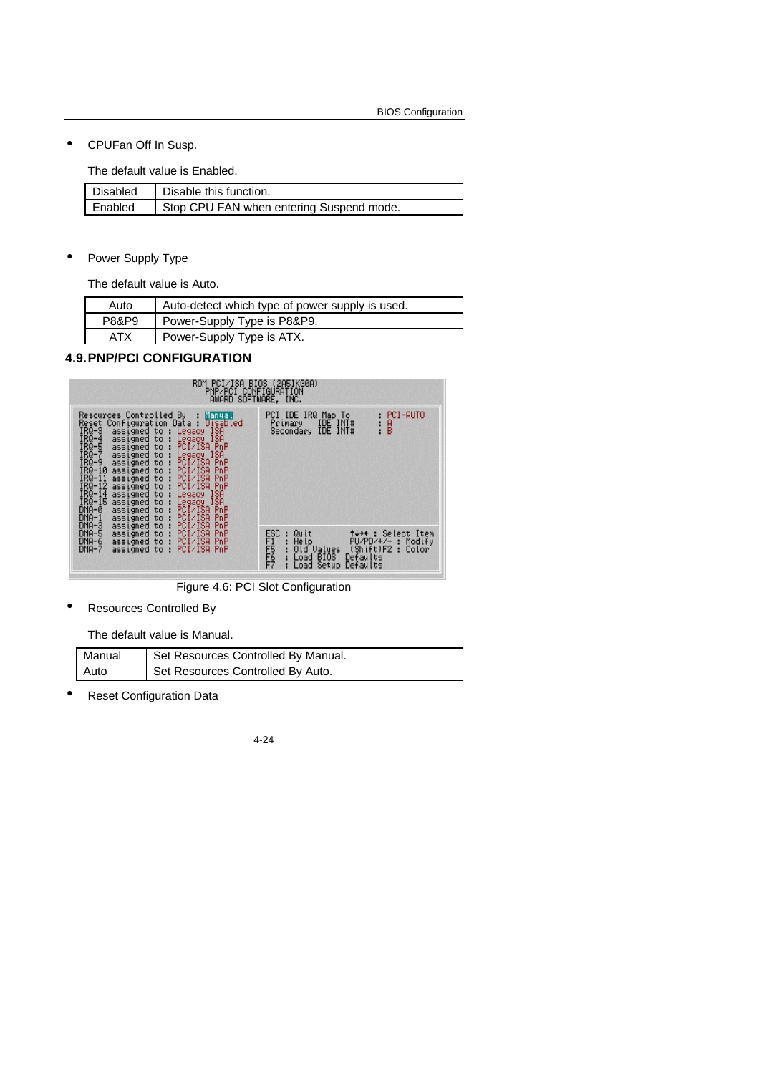• CPUFan Off In Susp.

The default value is Enabled.

| Disabled | Disable this function.                   |
|----------|------------------------------------------|
| Enabled  | Stop CPU FAN when entering Suspend mode. |

Power Supply Type

The default value is Auto.

| Auto  | Auto-detect which type of power supply is used. |
|-------|-------------------------------------------------|
| P8&P9 | Power-Supply Type is P8&P9.                     |
| ATX   | Power-Supply Type is ATX.                       |

#### **4.9.PNP/PCI CONFIGURATION**



Figure 4.6: PCI Slot Configuration

• Resources Controlled By

The default value is Manual.

| Manual | Set Resources Controlled By Manual. |
|--------|-------------------------------------|
| Auto   | Set Resources Controlled By Auto.   |

Reset Configuration Data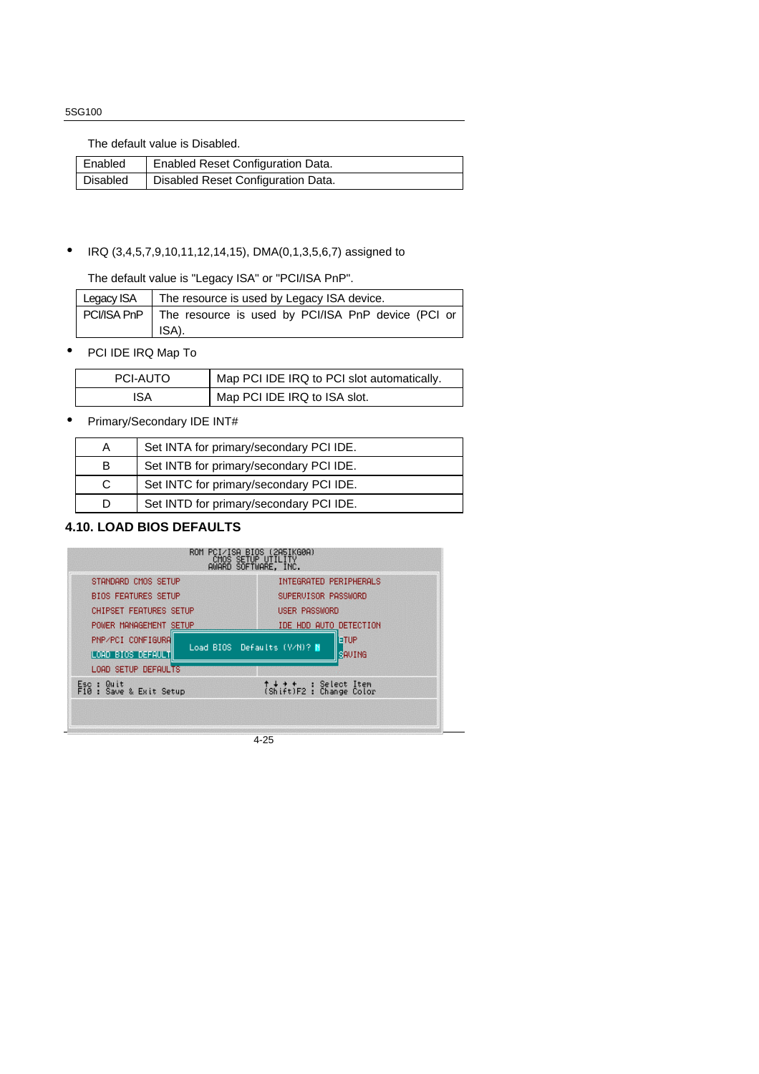The default value is Disabled.

| Enabled  | Enabled Reset Configuration Data.  |
|----------|------------------------------------|
| Disabled | Disabled Reset Configuration Data. |

#### • IRQ (3,4,5,7,9,10,11,12,14,15), DMA(0,1,3,5,6,7) assigned to

The default value is "Legacy ISA" or "PCI/ISA PnP".

| Legacy ISA | The resource is used by Legacy ISA device.                       |
|------------|------------------------------------------------------------------|
|            | PCI/ISA PnP   The resource is used by PCI/ISA PnP device (PCI or |
|            | ISA).                                                            |

• PCI IDE IRQ Map To

| PCI-AUTO | Map PCI IDE IRQ to PCI slot automatically. |
|----------|--------------------------------------------|
| ISA      | Map PCI IDE IRQ to ISA slot.               |

• Primary/Secondary IDE INT#

|   | Set INTA for primary/secondary PCI IDE. |
|---|-----------------------------------------|
| В | Set INTB for primary/secondary PCI IDE. |
| C | Set INTC for primary/secondary PCI IDE. |
|   | Set INTD for primary/secondary PCI IDE. |

#### **4.10. LOAD BIOS DEFAULTS**

| STANDARD CMOS SETUP                                           | INTEGRATED PERIPHERALS                                       |
|---------------------------------------------------------------|--------------------------------------------------------------|
| <b>BIOS FEATURES SETUP</b>                                    | SUPERVISOR PASSWORD                                          |
| CHIPSET FEATURES SETUP                                        | USER PASSWORD                                                |
| POWER MANAGEMENT SETUP                                        | IDE HDD AUTO DETECTION                                       |
| PNP/PCI CONFIGURA<br>LOAD BIOS DEFAULT<br>LOAD SETUP DEFAULTS | <b>IETUP</b><br>Load BIOS Defaults (Y/N)? N<br><b>SAVING</b> |
| Esc : Quit<br>F10 : Save & Exit Setup                         | ↑↓ → ← : Select Item<br>(Shift)F2 : Change Color             |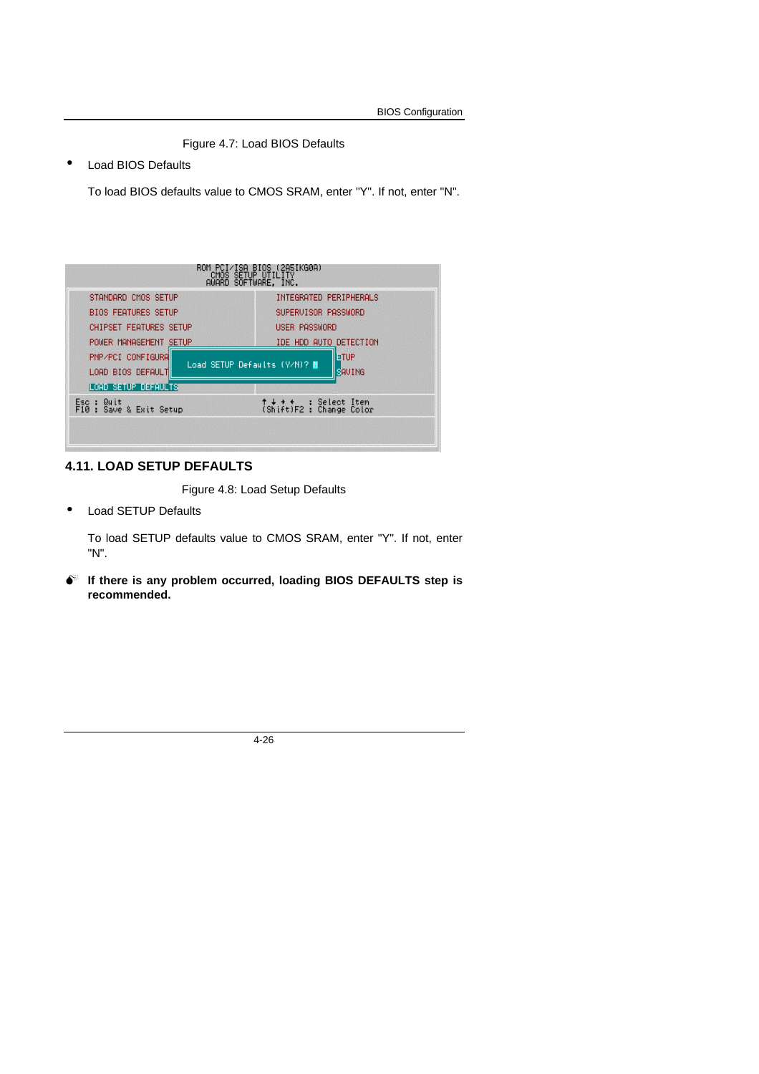Figure 4.7: Load BIOS Defaults

• Load BIOS Defaults

To load BIOS defaults value to CMOS SRAM, enter "Y". If not, enter "N".

| STANDARD CMOS SETUP                      | INTEGRATED PERIPHERALS                                        |
|------------------------------------------|---------------------------------------------------------------|
| <b>BIOS FEATURES SETUP</b>               | SUPERVISOR PASSWORD                                           |
| <b>CHIPSET FEATURES SETUP</b>            | USER PASSWORD                                                 |
| POWER MANAGEMENT SETUP                   | IDE HDD AUTO DETECTION                                        |
| PNP/PCI CONFIGURA<br>LOAD BIOS DEFAULT   | <b>IFTUR</b><br>Load SETUP Defaults (Y/N)? N<br><b>SAVING</b> |
| LOAD SETUP DEFAULTS                      |                                                               |
| Quit<br>Esc :<br>F10 : Save & Exit Setup | ↑↓ + +<br>(Shift)F2 : Change Color                            |

#### **4.11. LOAD SETUP DEFAULTS**

Figure 4.8: Load Setup Defaults

• Load SETUP Defaults

To load SETUP defaults value to CMOS SRAM, enter "Y". If not, enter "N".

 $\bullet$  If there is any problem occurred, loading BIOS DEFAULTS step is **recommended.**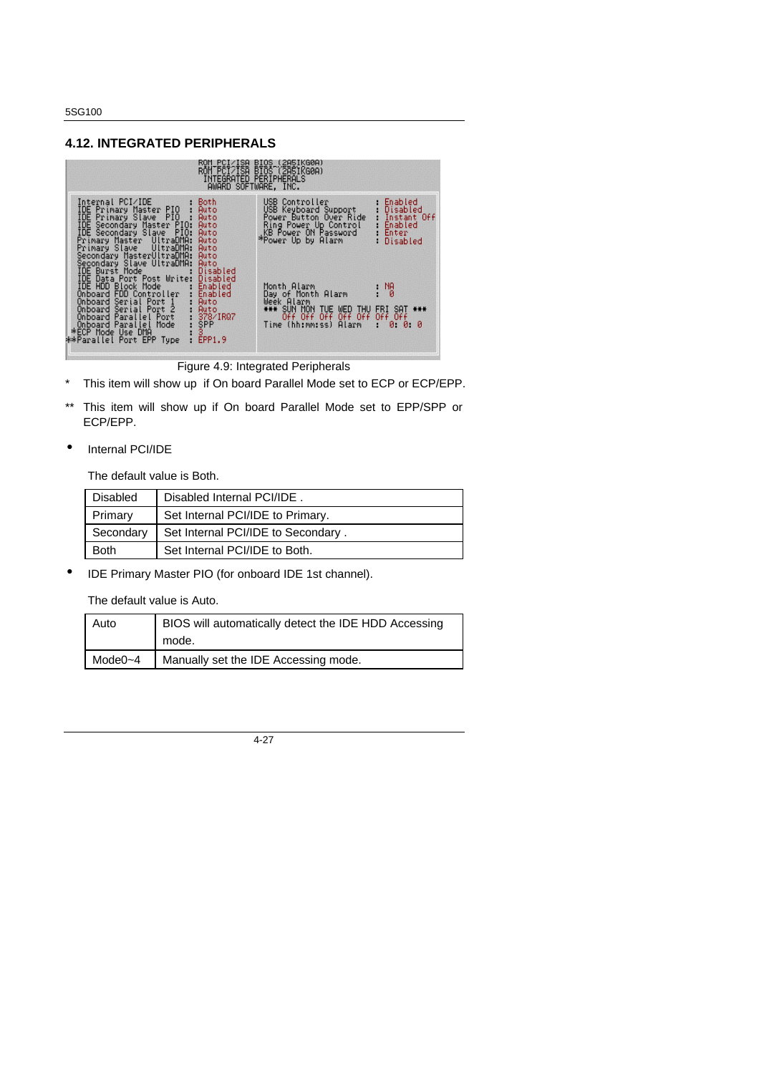#### **4.12. INTEGRATED PERIPHERALS**



Figure 4.9: Integrated Peripherals

- \* This item will show up if On board Parallel Mode set to ECP or ECP/EPP.
- \*\* This item will show up if On board Parallel Mode set to EPP/SPP or ECP/EPP.
- Internal PCI/IDE

The default value is Both.

| <b>Disabled</b> | Disabled Internal PCI/IDE.         |
|-----------------|------------------------------------|
| Primary         | Set Internal PCI/IDE to Primary.   |
| Secondary       | Set Internal PCI/IDE to Secondary. |
| <b>Both</b>     | Set Internal PCI/IDE to Both.      |

• IDE Primary Master PIO (for onboard IDE 1st channel).

The default value is Auto.

| Auto         | BIOS will automatically detect the IDE HDD Accessing |
|--------------|------------------------------------------------------|
|              | mode.                                                |
| Mode $0 - 4$ | Manually set the IDE Accessing mode.                 |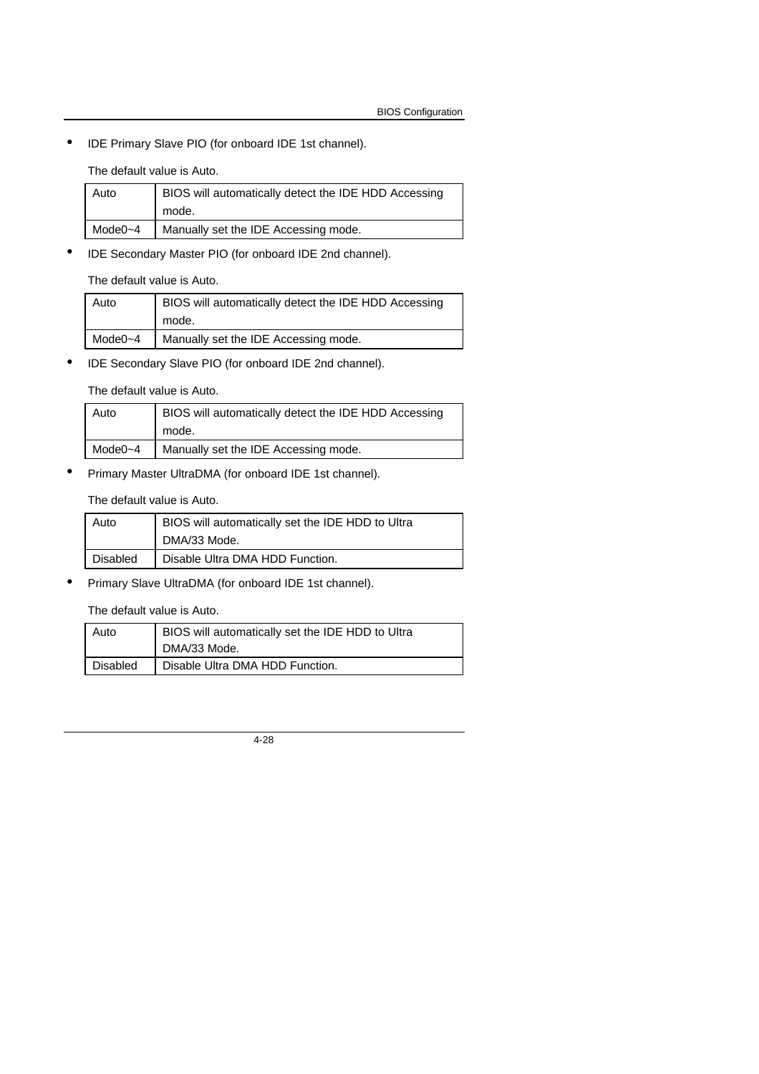• IDE Primary Slave PIO (for onboard IDE 1st channel).

The default value is Auto.

| Auto        | BIOS will automatically detect the IDE HDD Accessing |
|-------------|------------------------------------------------------|
|             | mode.                                                |
| Mode $0$ ~4 | Manually set the IDE Accessing mode.                 |
|             |                                                      |

• IDE Secondary Master PIO (for onboard IDE 2nd channel).

The default value is Auto.

| Auto         | BIOS will automatically detect the IDE HDD Accessing |
|--------------|------------------------------------------------------|
|              | mode.                                                |
| Mode $0 - 4$ | Manually set the IDE Accessing mode.                 |

• IDE Secondary Slave PIO (for onboard IDE 2nd channel).

The default value is Auto.

| Auto        | BIOS will automatically detect the IDE HDD Accessing |
|-------------|------------------------------------------------------|
|             |                                                      |
|             | mode.                                                |
| Mode $0$ ~4 | Manually set the IDE Accessing mode.                 |

• Primary Master UltraDMA (for onboard IDE 1st channel).

#### The default value is Auto.

| Auto     | BIOS will automatically set the IDE HDD to Ultra |
|----------|--------------------------------------------------|
|          | DMA/33 Mode.                                     |
| Disabled | Disable Ultra DMA HDD Function.                  |

• Primary Slave UltraDMA (for onboard IDE 1st channel).

#### The default value is Auto.

| Auto     | BIOS will automatically set the IDE HDD to Ultra<br>DMA/33 Mode. |
|----------|------------------------------------------------------------------|
| Disabled | Disable Ultra DMA HDD Function.                                  |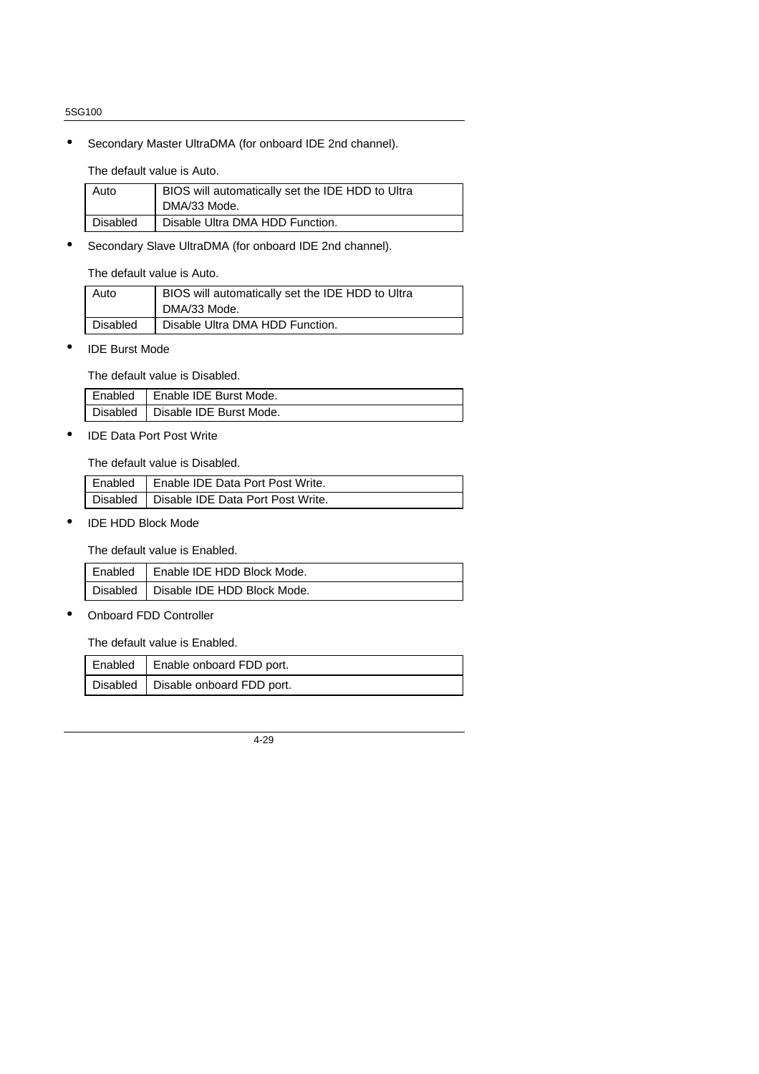• Secondary Master UltraDMA (for onboard IDE 2nd channel).

The default value is Auto.

| Auto     | BIOS will automatically set the IDE HDD to Ultra<br>DMA/33 Mode. |
|----------|------------------------------------------------------------------|
| Disabled | Disable Ultra DMA HDD Function.                                  |

• Secondary Slave UltraDMA (for onboard IDE 2nd channel).

The default value is Auto.

| Auto     | BIOS will automatically set the IDE HDD to Ultra |
|----------|--------------------------------------------------|
|          | DMA/33 Mode.                                     |
| Disabled | Disable Ultra DMA HDD Function.                  |

• IDE Burst Mode

The default value is Disabled.

| Enabled   Enable IDE Burst Mode. |
|----------------------------------|
| Disabled Disable IDE Burst Mode. |

• IDE Data Port Post Write

The default value is Disabled.

| Enabled   Enable IDE Data Port Post Write. |
|--------------------------------------------|
| Disabled Disable IDE Data Port Post Write. |

• IDE HDD Block Mode

The default value is Enabled.

| Enabled   Enable IDE HDD Block Mode.   |
|----------------------------------------|
| Disabled   Disable IDE HDD Block Mode. |

• Onboard FDD Controller

The default value is Enabled.

| Enabled   Enable onboard FDD port.   |
|--------------------------------------|
| Disabled   Disable onboard FDD port. |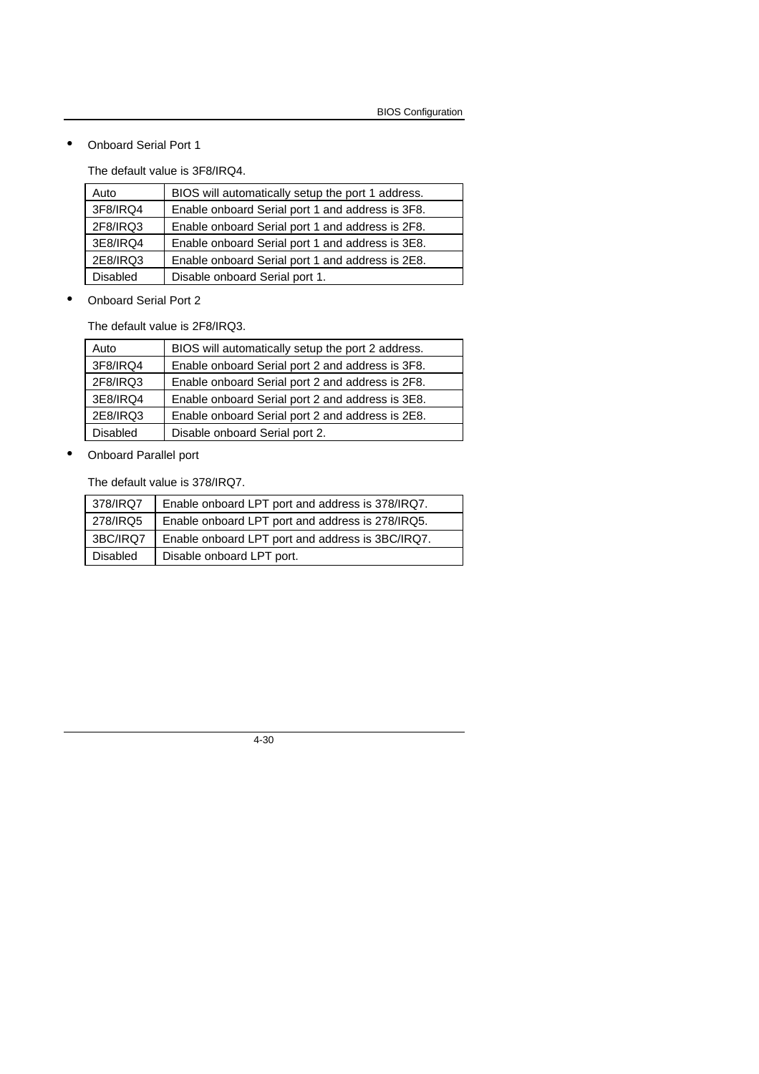• Onboard Serial Port 1

The default value is 3F8/IRQ4.

| Auto            | BIOS will automatically setup the port 1 address. |
|-----------------|---------------------------------------------------|
| 3F8/IRQ4        | Enable onboard Serial port 1 and address is 3F8.  |
| 2F8/IRQ3        | Enable onboard Serial port 1 and address is 2F8.  |
| 3E8/IRQ4        | Enable onboard Serial port 1 and address is 3E8.  |
| 2E8/IRQ3        | Enable onboard Serial port 1 and address is 2E8.  |
| <b>Disabled</b> | Disable onboard Serial port 1.                    |

• Onboard Serial Port 2

The default value is 2F8/IRQ3.

• Onboard Parallel port

The default value is 378/IRQ7.

| 378/IRQ7        | Enable onboard LPT port and address is 378/IRQ7. |
|-----------------|--------------------------------------------------|
| 278/IRQ5        | Enable onboard LPT port and address is 278/IRQ5. |
| 3BC/IRQ7        | Enable onboard LPT port and address is 3BC/IRQ7. |
| <b>Disabled</b> | Disable onboard LPT port.                        |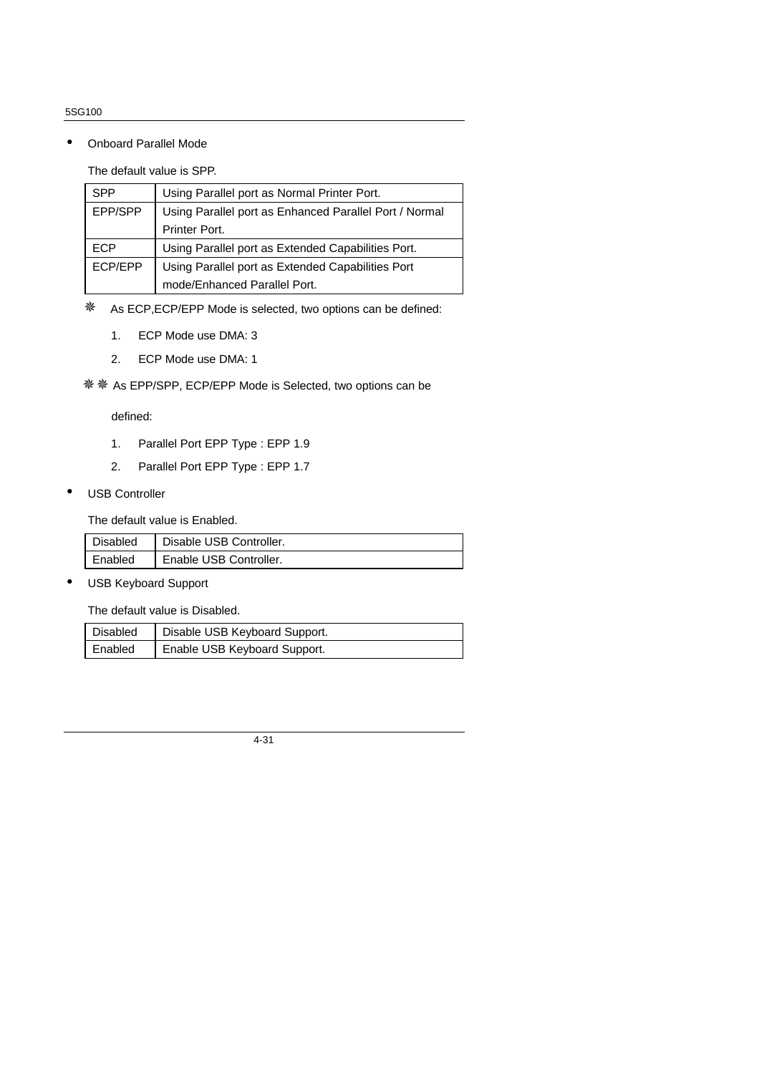• Onboard Parallel Mode

The default value is SPP.

| <b>SPP</b> | Using Parallel port as Normal Printer Port.            |
|------------|--------------------------------------------------------|
| EPP/SPP    | Using Parallel port as Enhanced Parallel Port / Normal |
|            | Printer Port.                                          |
| ECP        | Using Parallel port as Extended Capabilities Port.     |
| ECP/EPP    | Using Parallel port as Extended Capabilities Port      |
|            | mode/Enhanced Parallel Port.                           |

※ As ECP, ECP/EPP Mode is selected, two options can be defined:

- 1. ECP Mode use DMA: 3
- 2. ECP Mode use DMA: 1

※※※As EPP/SPP, ECP/EPP Mode is Selected, two options can be

defined:

- 1. Parallel Port EPP Type : EPP 1.9
- 2. Parallel Port EPP Type : EPP 1.7
- USB Controller

The default value is Enabled.

| <b>Disabled</b> | Disable USB Controller. |
|-----------------|-------------------------|
| Enabled         | Enable USB Controller.  |

• USB Keyboard Support

The default value is Disabled.

| Disabled | Disable USB Keyboard Support. |
|----------|-------------------------------|
| Enabled  | Enable USB Keyboard Support.  |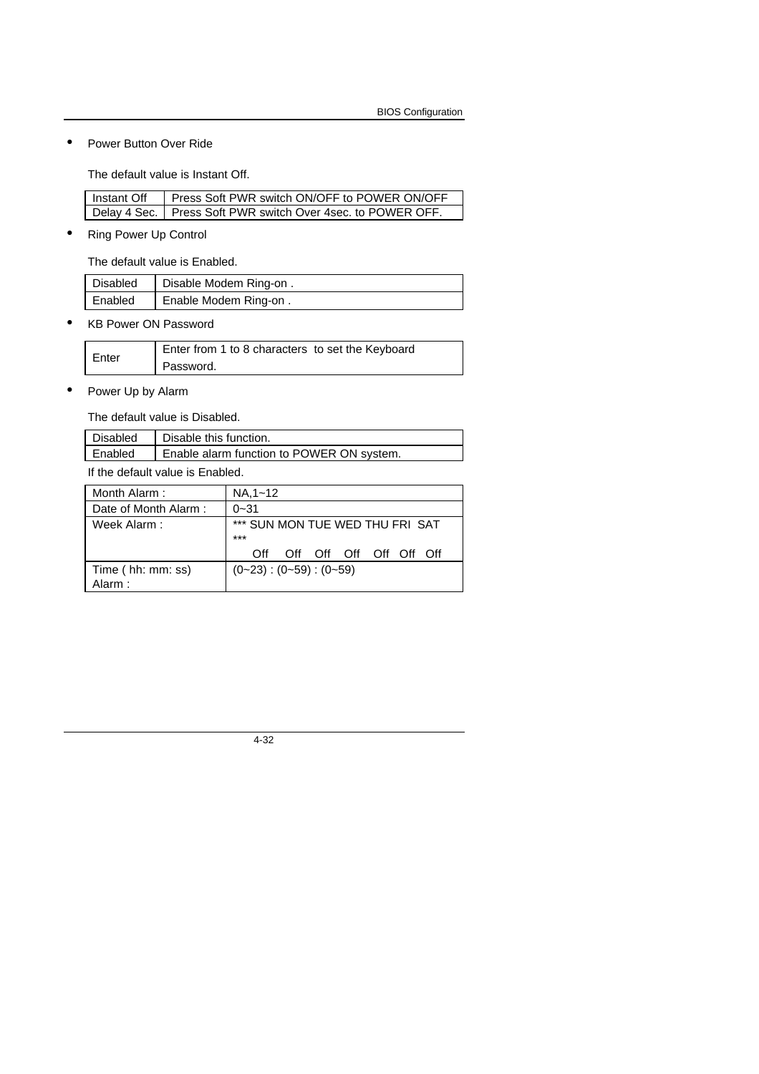• Power Button Over Ride

The default value is Instant Off.

| Instant Off | Press Soft PWR switch ON/OFF to POWER ON/OFF                  |
|-------------|---------------------------------------------------------------|
|             | Delay 4 Sec.   Press Soft PWR switch Over 4sec. to POWER OFF. |

• Ring Power Up Control

 $\mathsf I$ 

The default value is Enabled.

| Disabled | Disable Modem Ring-on. |
|----------|------------------------|
| Enabled  | Enable Modem Ring-on.  |

• KB Power ON Password

| Enter | Enter from 1 to 8 characters to set the Keyboard |
|-------|--------------------------------------------------|
|       | Password.                                        |

• Power Up by Alarm

The default value is Disabled.

| Disabled                        | Disable this function.                    |  |  |  |
|---------------------------------|-------------------------------------------|--|--|--|
| l Enabled                       | Enable alarm function to POWER ON system. |  |  |  |
| If the default value in Enabled |                                           |  |  |  |

If the default value is Enabled.

| Month Alarm:         | $NA.1 - 12$                              |  |  |  |  |  |
|----------------------|------------------------------------------|--|--|--|--|--|
| Date of Month Alarm: | $0 - 31$                                 |  |  |  |  |  |
| Week Alarm:          | *** SUN MON TUE WED THU FRI SAT<br>$***$ |  |  |  |  |  |
|                      | Off Off Off Off Off Off<br>∩ff           |  |  |  |  |  |
| Time (hh: mm: ss)    | $(0-23)$ : $(0-59)$ : $(0-59)$           |  |  |  |  |  |
| Alarm:               |                                          |  |  |  |  |  |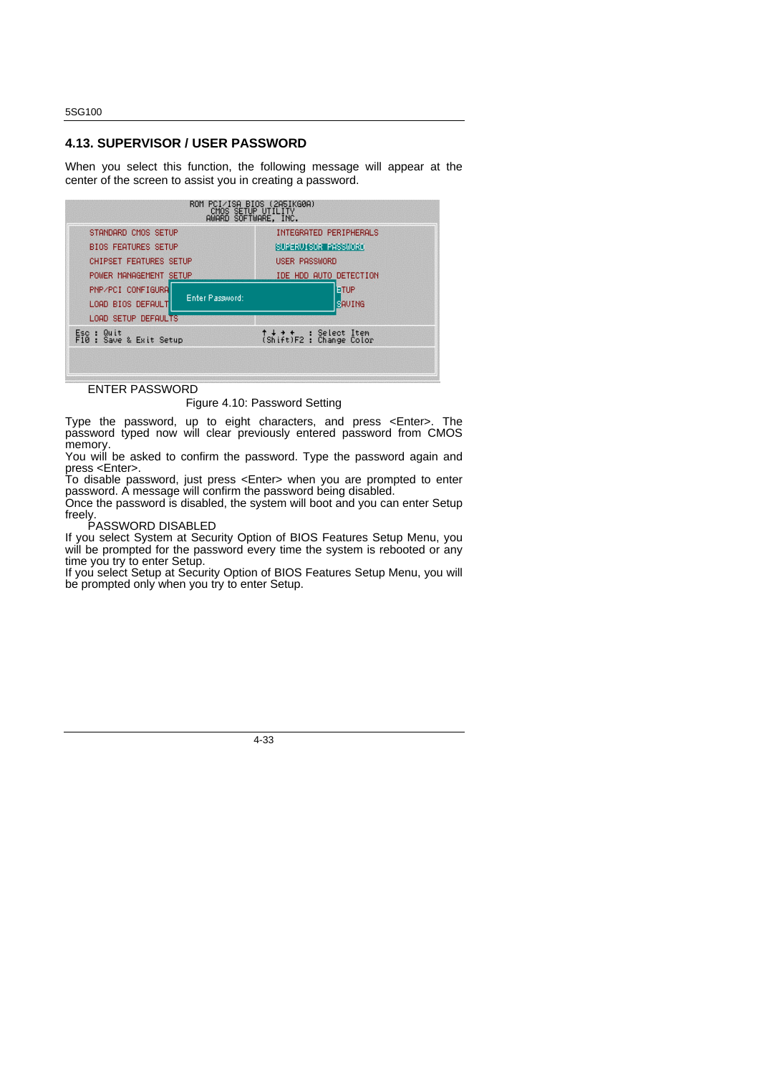#### **4.13. SUPERVISOR / USER PASSWORD**

When you select this function, the following message will appear at the center of the screen to assist you in creating a password.



ENTER PASSWORD

Figure 4.10: Password Setting

Type the password, up to eight characters, and press <Enter>. The password typed now will clear previously entered password from CMOS memory.

You will be asked to confirm the password. Type the password again and press <Enter>.

To disable password, just press <Enter> when you are prompted to enter password. A message will confirm the password being disabled. Once the password is disabled, the system will boot and you can enter Setup

freely. PASSWORD DISABLED

If you select System at Security Option of BIOS Features Setup Menu, you will be prompted for the password every time the system is rebooted or any time you try to enter Setup.

If you select Setup at Security Option of BIOS Features Setup Menu, you will be prompted only when you try to enter Setup.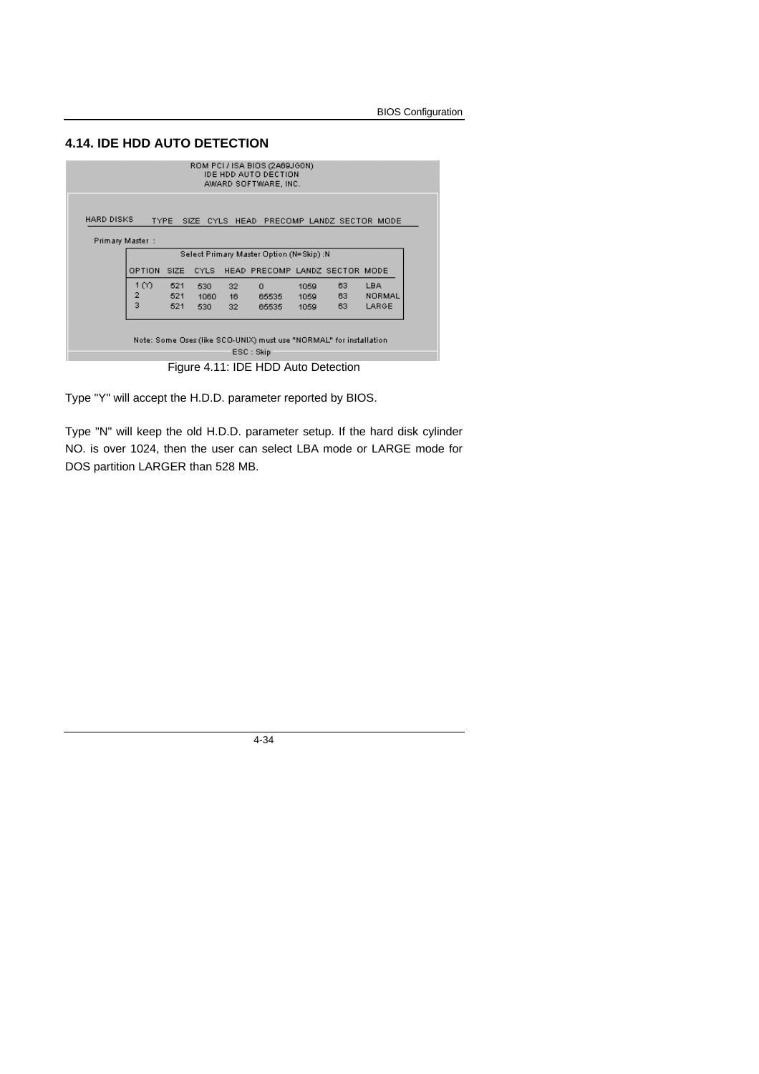#### **4.14. IDE HDD AUTO DETECTION**

| ROM PCI / ISA BIOS (2A69JGON)<br><b>IDE HDD AUTO DECTION</b><br>AWARD SOFTWARE, INC. |                         |     |      |    |          |      |    |               |
|--------------------------------------------------------------------------------------|-------------------------|-----|------|----|----------|------|----|---------------|
| HARD DISKS<br><b>TYPE</b><br>SIZE CYLS HEAD PRECOMP LANDZ SECTOR MODE                |                         |     |      |    |          |      |    |               |
| Primary Master :                                                                     |                         |     |      |    |          |      |    |               |
| Select Primary Master Option (N=Skip) :N                                             |                         |     |      |    |          |      |    |               |
| OPTION<br>HEAD PRECOMP LANDZ SECTOR MODE<br>SIZE<br><b>CYLS</b>                      |                         |     |      |    |          |      |    |               |
|                                                                                      | 1 ന                     | 521 | 530  | 32 | $\Omega$ | 1059 | 63 | <b>LBA</b>    |
|                                                                                      | 2                       | 521 | 1060 | 16 | 65535    | 1059 | 63 | <b>NORMAL</b> |
|                                                                                      | $\overline{\mathbf{3}}$ | 521 | 530  | 32 | 65535    | 1059 | 63 | LARGE         |
|                                                                                      |                         |     |      |    |          |      |    |               |
| Note: Some Oses (like SCO-UNIX) must use "NORMAL" for installation                   |                         |     |      |    |          |      |    |               |
| ESC : Skip                                                                           |                         |     |      |    |          |      |    |               |
| Figure 4.11: IDE HDD Auto Detection                                                  |                         |     |      |    |          |      |    |               |

Type "Y" will accept the H.D.D. parameter reported by BIOS.

Type "N" will keep the old H.D.D. parameter setup. If the hard disk cylinder NO. is over 1024, then the user can select LBA mode or LARGE mode for DOS partition LARGER than 528 MB.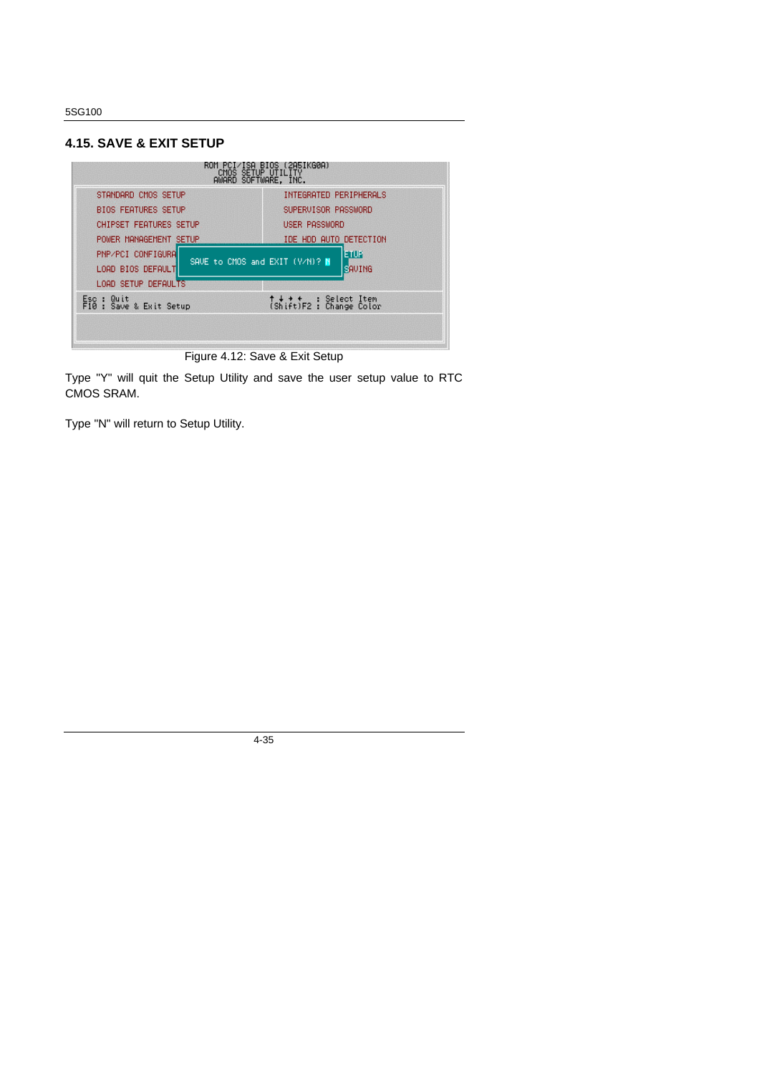#### **4.15. SAVE & EXIT SETUP**



Figure 4.12: Save & Exit Setup

Type "Y" will quit the Setup Utility and save the user setup value to RTC CMOS SRAM.

Type "N" will return to Setup Utility.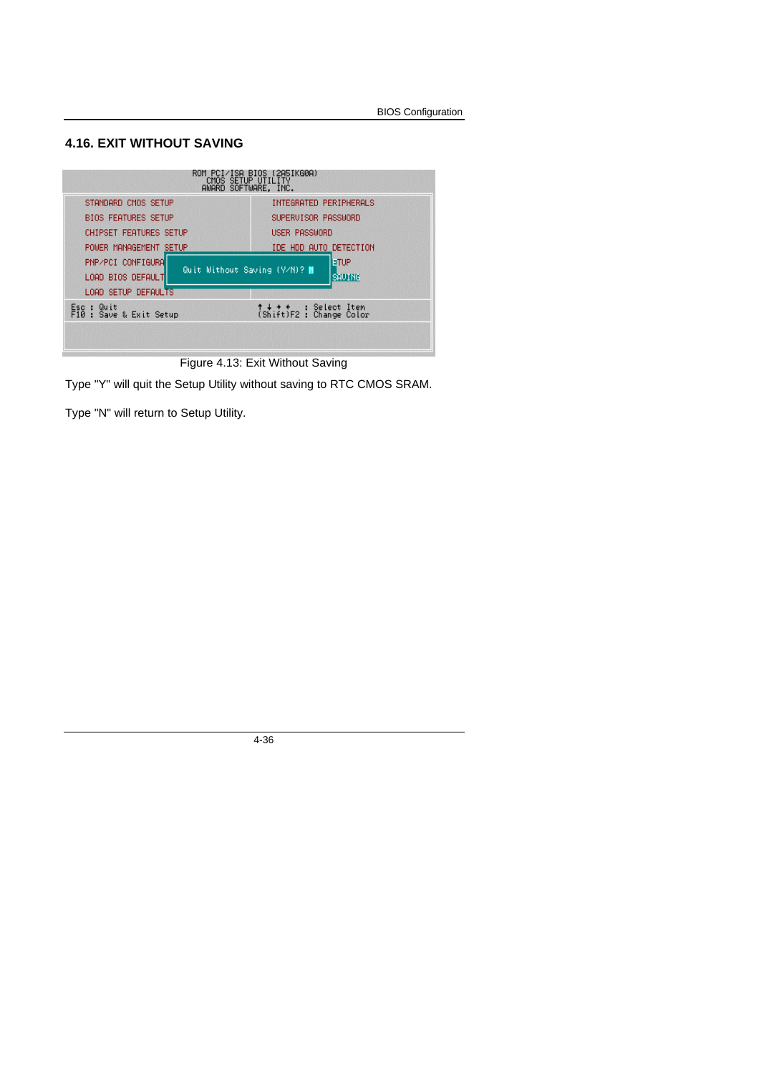#### **4.16. EXIT WITHOUT SAVING**



Figure 4.13: Exit Without Saving

Type "Y" will quit the Setup Utility without saving to RTC CMOS SRAM.

Type "N" will return to Setup Utility.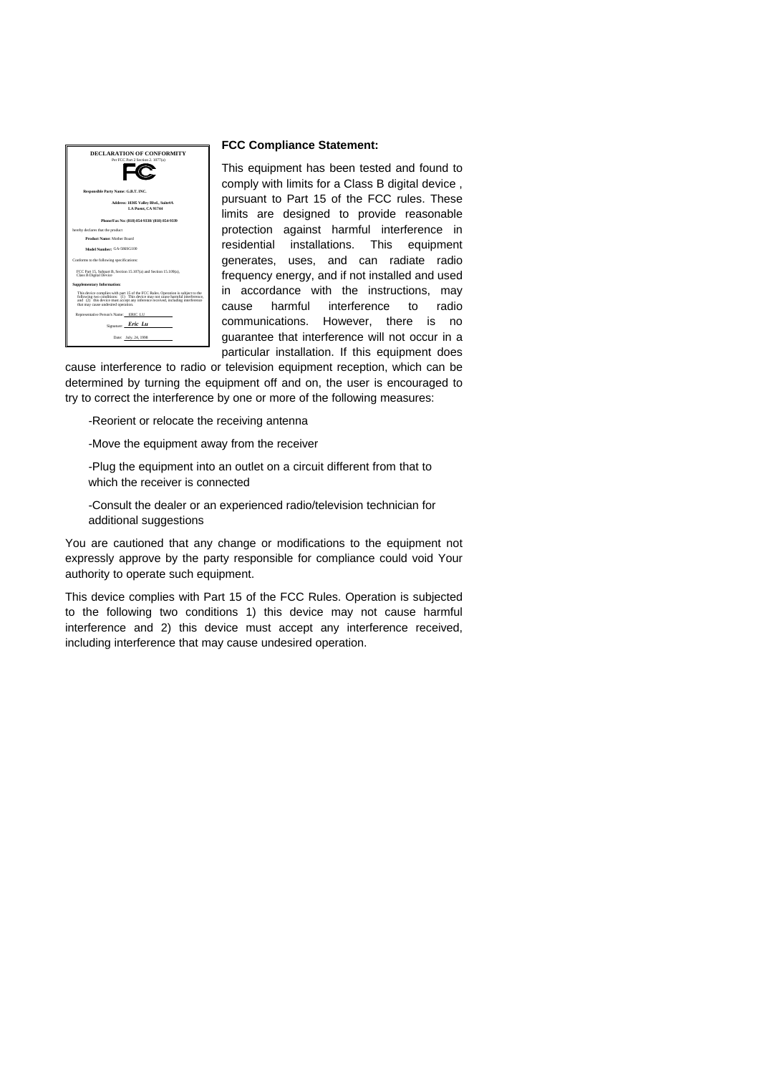

#### **FCC Compliance Statement:**

This equipment has been tested and found to comply with limits for a Class B digital device , pursuant to Part 15 of the FCC rules. These limits are designed to provide reasonable protection against harmful interference in residential installations. This equipment generates, uses, and can radiate radio frequency energy, and if not installed and used in accordance with the instructions, may cause harmful interference to radio communications. However, there is no guarantee that interference will not occur in a particular installation. If this equipment does

cause interference to radio or television equipment reception, which can be determined by turning the equipment off and on, the user is encouraged to try to correct the interference by one or more of the following measures:

-Reorient or relocate the receiving antenna

-Move the equipment away from the receiver

-Plug the equipment into an outlet on a circuit different from that to which the receiver is connected

-Consult the dealer or an experienced radio/television technician for additional suggestions

You are cautioned that any change or modifications to the equipment not expressly approve by the party responsible for compliance could void Your authority to operate such equipment.

This device complies with Part 15 of the FCC Rules. Operation is subjected to the following two conditions 1) this device may not cause harmful interference and 2) this device must accept any interference received, including interference that may cause undesired operation.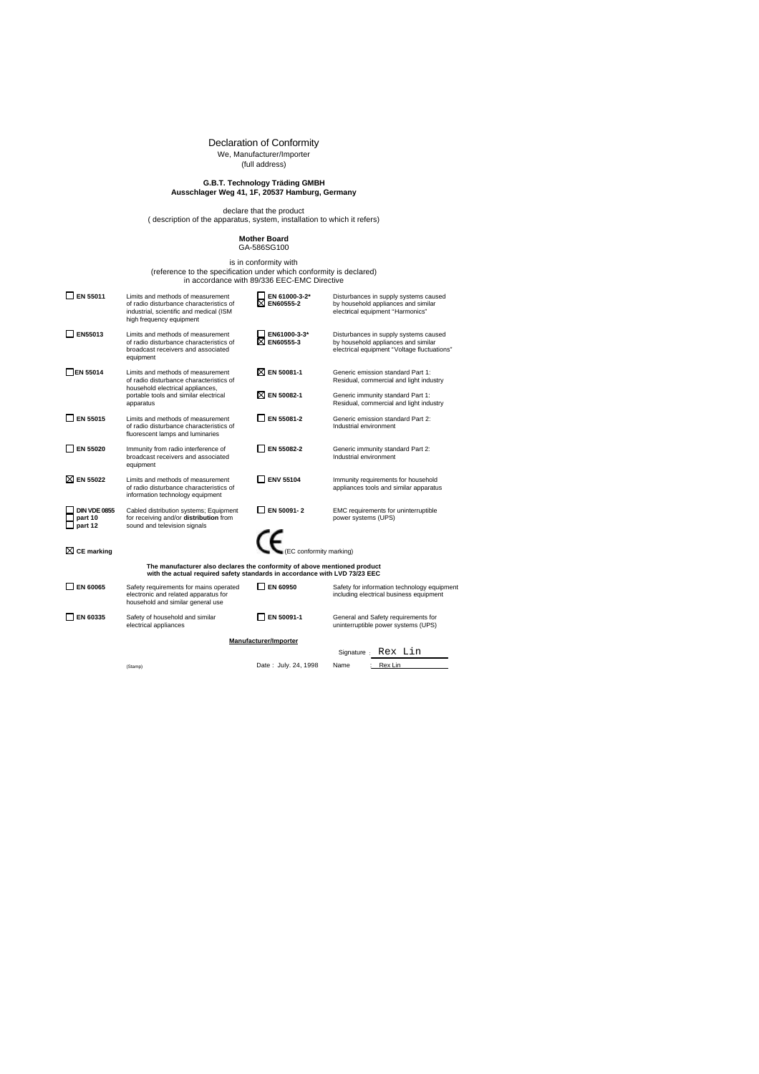# Declaration of Conformity We, Manufacturer/Importer (full address)

# **G.B.T. Technology Träding GMBH Ausschlager Weg 41, 1F, 20537 Hamburg, Germany**

declare that the product ( description of the apparatus, system, installation to which it refers)

**Mother Board** GA-586SG100

# is in conformity with<br>(reference to the specification under which conformity is declared)<br>in accordance with 89/336 EEC-EMC Directive

| EN 55011                                                                                                                                               | Limits and methods of measurement<br>of radio disturbance characteristics of<br>industrial, scientific and medical (ISM<br>high frequency equipment | EN 61000-3-2*<br>EN60555-2         | Disturbances in supply systems caused<br>by household appliances and similar<br>electrical equipment "Harmonics"            |  |  |  |  |  |
|--------------------------------------------------------------------------------------------------------------------------------------------------------|-----------------------------------------------------------------------------------------------------------------------------------------------------|------------------------------------|-----------------------------------------------------------------------------------------------------------------------------|--|--|--|--|--|
| EN55013                                                                                                                                                | Limits and methods of measurement<br>of radio disturbance characteristics of<br>broadcast receivers and associated<br>equipment                     | EN61000-3-3*<br>EN60555-3          | Disturbances in supply systems caused<br>by household appliances and similar<br>electrical equipment "Voltage fluctuations" |  |  |  |  |  |
| <b>EN 55014</b>                                                                                                                                        | Limits and methods of measurement<br>of radio disturbance characteristics of                                                                        | <b>X EN 50081-1</b>                | Generic emission standard Part 1:<br>Residual, commercial and light industry                                                |  |  |  |  |  |
|                                                                                                                                                        | household electrical appliances,<br>portable tools and similar electrical<br>apparatus                                                              | EN 50082-1<br>⋈                    | Generic immunity standard Part 1:<br>Residual, commercial and light industry                                                |  |  |  |  |  |
| <b>EN 55015</b>                                                                                                                                        | Limits and methods of measurement<br>of radio disturbance characteristics of<br>fluorescent lamps and luminaries                                    | EN 55081-2                         | Generic emission standard Part 2:<br>Industrial environment                                                                 |  |  |  |  |  |
| EN 55020                                                                                                                                               | Immunity from radio interference of<br>broadcast receivers and associated<br>equipment                                                              | EN 55082-2                         | Generic immunity standard Part 2:<br>Industrial environment                                                                 |  |  |  |  |  |
| <b>NEN 55022</b>                                                                                                                                       | Limits and methods of measurement<br>of radio disturbance characteristics of<br>information technology equipment                                    | <b>ENV 55104</b>                   | Immunity requirements for household<br>appliances tools and similar apparatus                                               |  |  |  |  |  |
| <b>DIN VDE 0855</b><br>part 10<br>part 12                                                                                                              | Cabled distribution systems; Equipment<br>for receiving and/or distribution from<br>sound and television signals                                    | EN 50091-2                         | EMC requirements for uninterruptible<br>power systems (UPS)                                                                 |  |  |  |  |  |
| $\boxtimes$ CE marking                                                                                                                                 |                                                                                                                                                     | $\epsilon$ (EC conformity marking) |                                                                                                                             |  |  |  |  |  |
| The manufacturer also declares the conformity of above mentioned product<br>with the actual required safety standards in accordance with LVD 73/23 EEC |                                                                                                                                                     |                                    |                                                                                                                             |  |  |  |  |  |
| EN 60065                                                                                                                                               | Safety requirements for mains operated<br>electronic and related apparatus for<br>household and similar general use                                 | EN 60950                           | Safety for information technology equipment<br>including electrical business equipment                                      |  |  |  |  |  |
| EN 60335                                                                                                                                               | Safety of household and similar<br>electrical appliances                                                                                            | EN 50091-1                         | General and Safety requirements for<br>uninterruptible power systems (UPS)                                                  |  |  |  |  |  |
|                                                                                                                                                        | Manufacturer/Importer                                                                                                                               |                                    |                                                                                                                             |  |  |  |  |  |
|                                                                                                                                                        | Rex Lin<br>Signature :                                                                                                                              |                                    |                                                                                                                             |  |  |  |  |  |
|                                                                                                                                                        | (Stamp)                                                                                                                                             | Date: July. 24, 1998               | Rex Lin<br>Name                                                                                                             |  |  |  |  |  |